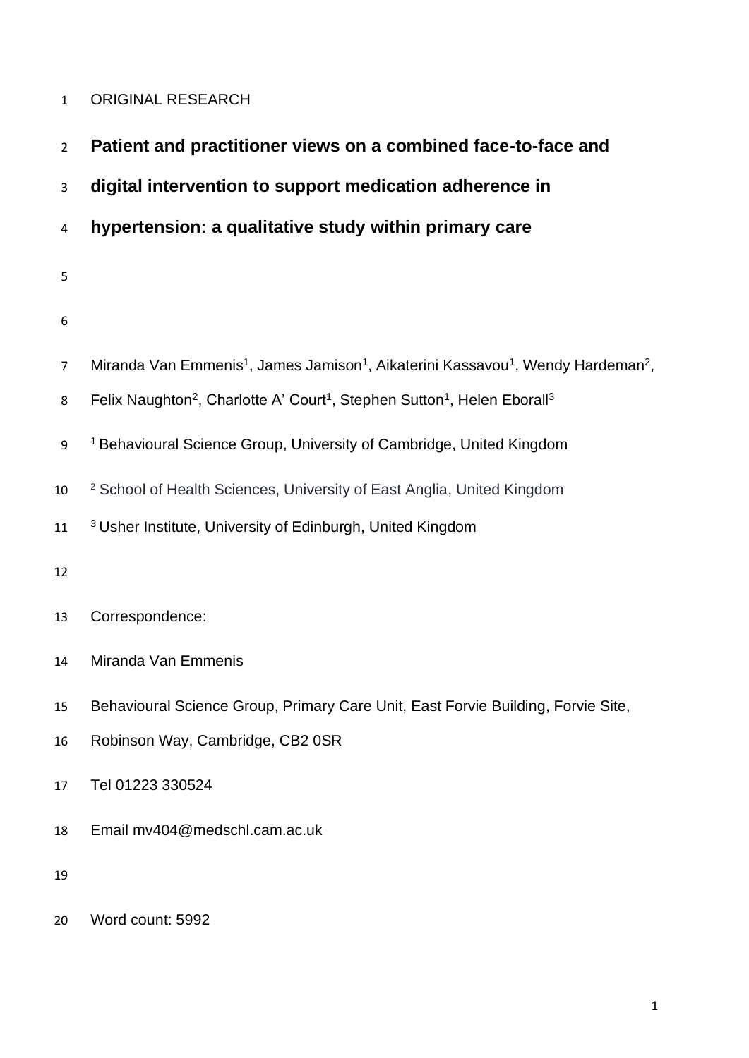# ORIGINAL RESEARCH

| $\overline{2}$ | Patient and practitioner views on a combined face-to-face and                                                                    |
|----------------|----------------------------------------------------------------------------------------------------------------------------------|
| 3              | digital intervention to support medication adherence in                                                                          |
| 4              | hypertension: a qualitative study within primary care                                                                            |
| 5              |                                                                                                                                  |
| 6              |                                                                                                                                  |
| $\overline{7}$ | Miranda Van Emmenis <sup>1</sup> , James Jamison <sup>1</sup> , Aikaterini Kassavou <sup>1</sup> , Wendy Hardeman <sup>2</sup> , |
| 8              | Felix Naughton <sup>2</sup> , Charlotte A' Court <sup>1</sup> , Stephen Sutton <sup>1</sup> , Helen Eborall <sup>3</sup>         |
| 9              | <sup>1</sup> Behavioural Science Group, University of Cambridge, United Kingdom                                                  |
| 10             | <sup>2</sup> School of Health Sciences, University of East Anglia, United Kingdom                                                |
| 11             | <sup>3</sup> Usher Institute, University of Edinburgh, United Kingdom                                                            |
| 12             |                                                                                                                                  |
| 13             | Correspondence:                                                                                                                  |
| 14             | Miranda Van Emmenis                                                                                                              |
| 15             | Behavioural Science Group, Primary Care Unit, East Forvie Building, Forvie Site,                                                 |
| 16             | Robinson Way, Cambridge, CB2 0SR                                                                                                 |
| 17             | Tel 01223 330524                                                                                                                 |
| 18             | Email mv404@medschl.cam.ac.uk                                                                                                    |
| 19             |                                                                                                                                  |
|                |                                                                                                                                  |

Word count: 5992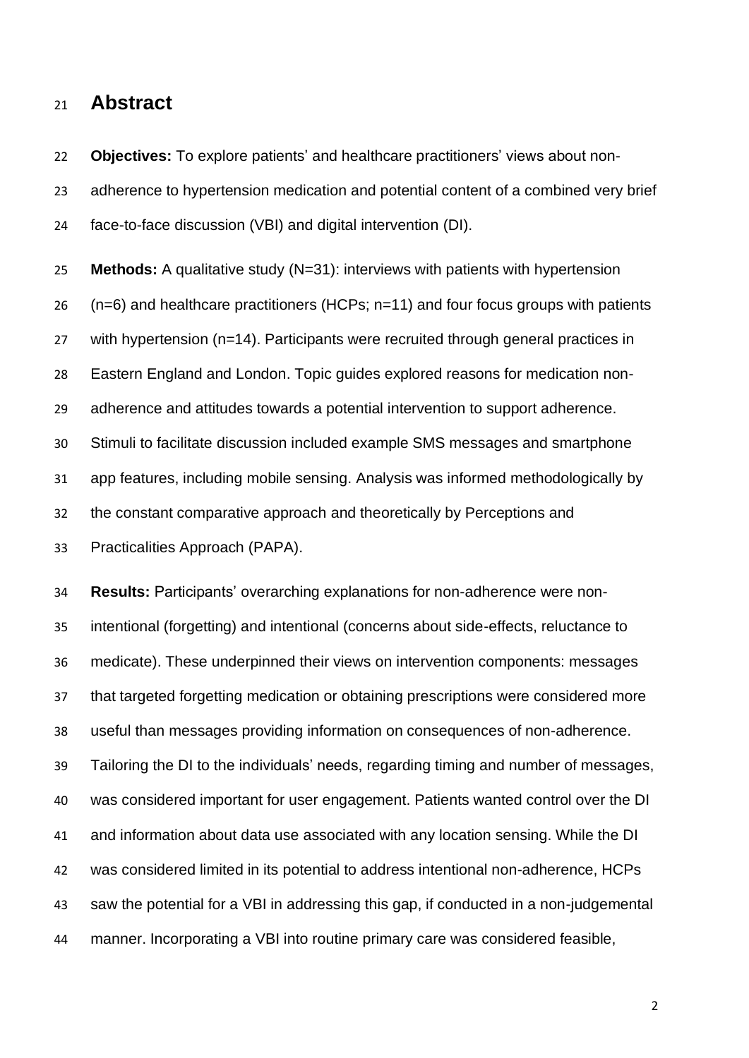# **Abstract**

 **Objectives:** To explore patients' and healthcare practitioners' views about non- adherence to hypertension medication and potential content of a combined very brief face-to-face discussion (VBI) and digital intervention (DI).

 **Methods:** A qualitative study (N=31): interviews with patients with hypertension (n=6) and healthcare practitioners (HCPs; n=11) and four focus groups with patients with hypertension (n=14). Participants were recruited through general practices in Eastern England and London. Topic guides explored reasons for medication non- adherence and attitudes towards a potential intervention to support adherence. Stimuli to facilitate discussion included example SMS messages and smartphone app features, including mobile sensing. Analysis was informed methodologically by the constant comparative approach and theoretically by Perceptions and Practicalities Approach (PAPA).

 **Results:** Participants' overarching explanations for non-adherence were non- intentional (forgetting) and intentional (concerns about side-effects, reluctance to medicate). These underpinned their views on intervention components: messages that targeted forgetting medication or obtaining prescriptions were considered more useful than messages providing information on consequences of non-adherence. Tailoring the DI to the individuals' needs, regarding timing and number of messages, was considered important for user engagement. Patients wanted control over the DI and information about data use associated with any location sensing. While the DI was considered limited in its potential to address intentional non-adherence, HCPs saw the potential for a VBI in addressing this gap, if conducted in a non-judgemental manner. Incorporating a VBI into routine primary care was considered feasible,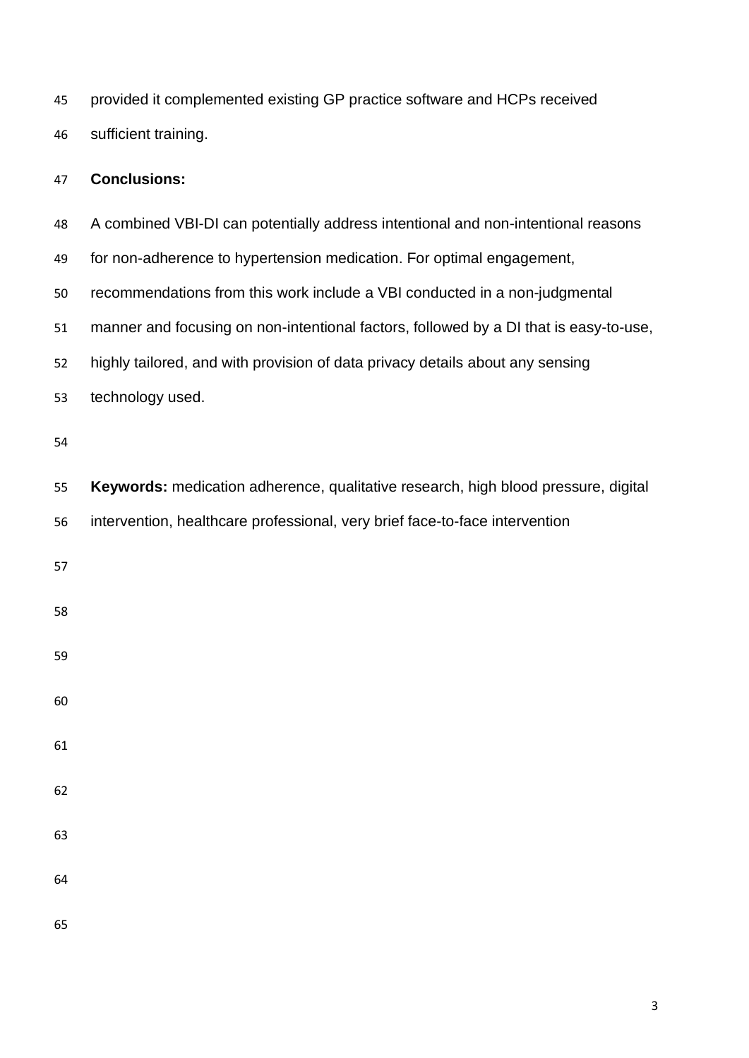provided it complemented existing GP practice software and HCPs received sufficient training.

# **Conclusions:**

| 48 | A combined VBI-DI can potentially address intentional and non-intentional reasons     |
|----|---------------------------------------------------------------------------------------|
| 49 | for non-adherence to hypertension medication. For optimal engagement,                 |
| 50 | recommendations from this work include a VBI conducted in a non-judgmental            |
| 51 | manner and focusing on non-intentional factors, followed by a DI that is easy-to-use, |
| 52 | highly tailored, and with provision of data privacy details about any sensing         |
| 53 | technology used.                                                                      |
| 54 |                                                                                       |
| 55 | Keywords: medication adherence, qualitative research, high blood pressure, digital    |
| 56 | intervention, healthcare professional, very brief face-to-face intervention           |
| 57 |                                                                                       |
| 58 |                                                                                       |
| 59 |                                                                                       |
| 60 |                                                                                       |
| 61 |                                                                                       |
| 62 |                                                                                       |
| 63 |                                                                                       |
| 64 |                                                                                       |
| 65 |                                                                                       |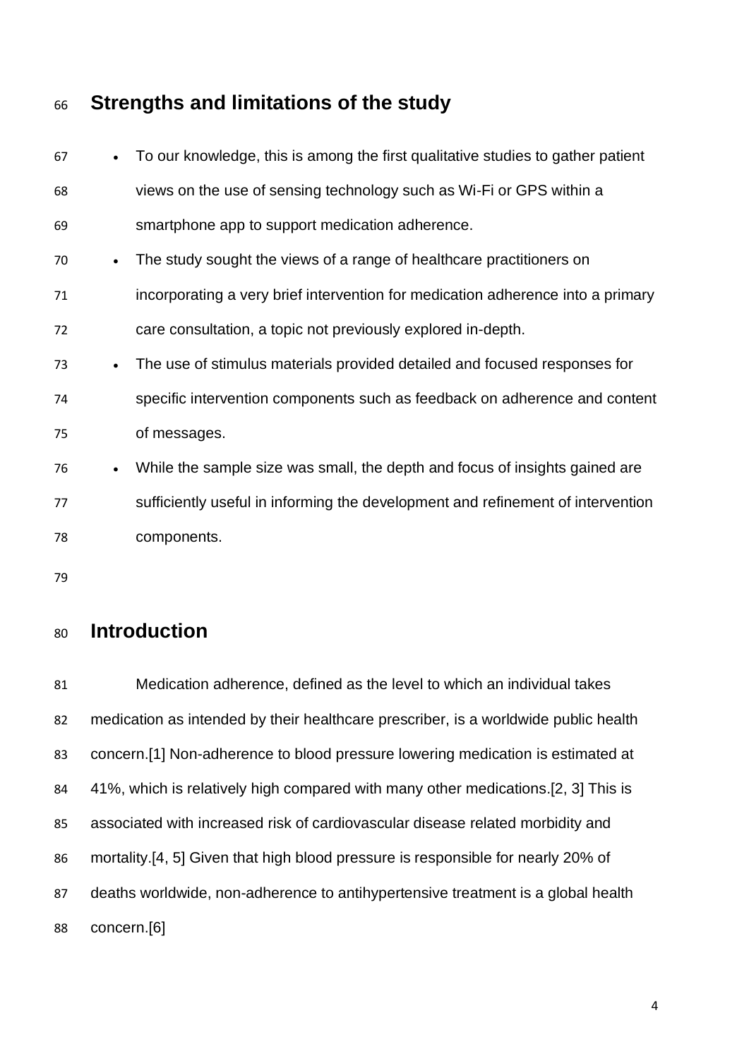# **Strengths and limitations of the study**

| 67 |           | • To our knowledge, this is among the first qualitative studies to gather patient |
|----|-----------|-----------------------------------------------------------------------------------|
| 68 |           | views on the use of sensing technology such as Wi-Fi or GPS within a              |
| 69 |           | smartphone app to support medication adherence.                                   |
| 70 | $\bullet$ | The study sought the views of a range of healthcare practitioners on              |
| 71 |           | incorporating a very brief intervention for medication adherence into a primary   |
| 72 |           | care consultation, a topic not previously explored in-depth.                      |
| 73 | $\bullet$ | The use of stimulus materials provided detailed and focused responses for         |
| 74 |           | specific intervention components such as feedback on adherence and content        |
| 75 |           | of messages.                                                                      |
| 76 | $\bullet$ | While the sample size was small, the depth and focus of insights gained are       |
| 77 |           | sufficiently useful in informing the development and refinement of intervention   |
| 78 |           | components.                                                                       |
| 79 |           |                                                                                   |

# **Introduction**

 Medication adherence, defined as the level to which an individual takes medication as intended by their healthcare prescriber, is a worldwide public health concern.[1] Non-adherence to blood pressure lowering medication is estimated at 41%, which is relatively high compared with many other medications.[2, 3] This is associated with increased risk of cardiovascular disease related morbidity and mortality.[4, 5] Given that high blood pressure is responsible for nearly 20% of deaths worldwide, non-adherence to antihypertensive treatment is a global health concern.[6]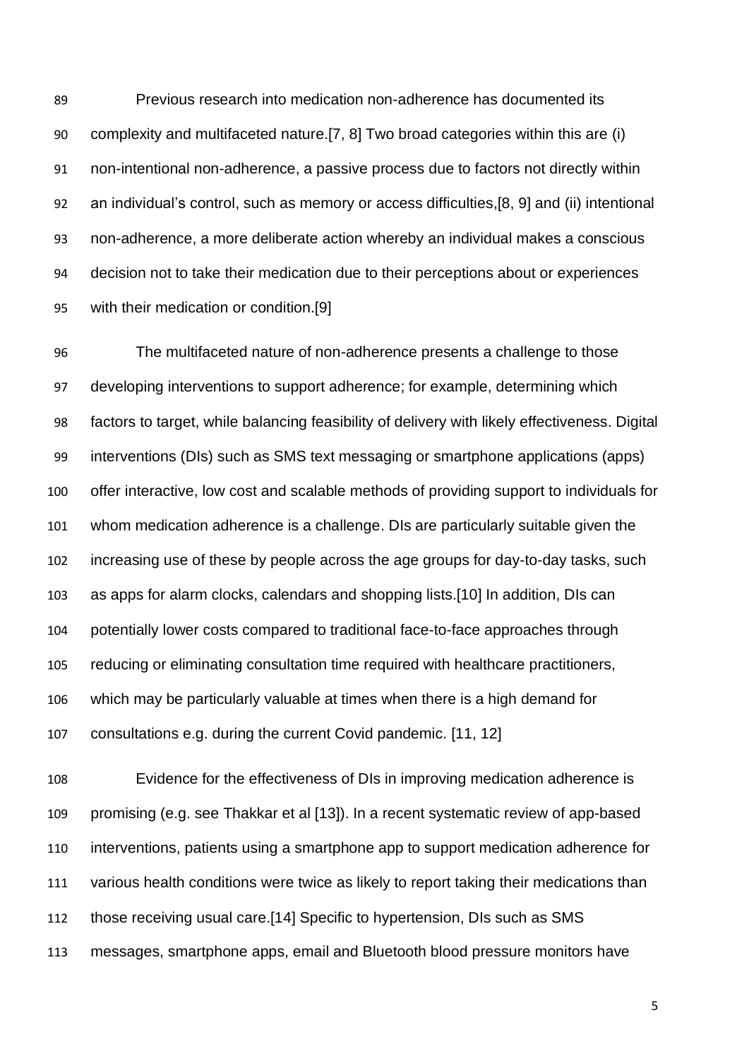Previous research into medication non-adherence has documented its complexity and multifaceted nature.[7, 8] Two broad categories within this are (i) non-intentional non-adherence, a passive process due to factors not directly within an individual's control, such as memory or access difficulties,[8, 9] and (ii) intentional non-adherence, a more deliberate action whereby an individual makes a conscious decision not to take their medication due to their perceptions about or experiences with their medication or condition.[9]

 The multifaceted nature of non-adherence presents a challenge to those developing interventions to support adherence; for example, determining which factors to target, while balancing feasibility of delivery with likely effectiveness. Digital interventions (DIs) such as SMS text messaging or smartphone applications (apps) offer interactive, low cost and scalable methods of providing support to individuals for whom medication adherence is a challenge. DIs are particularly suitable given the increasing use of these by people across the age groups for day-to-day tasks, such as apps for alarm clocks, calendars and shopping lists.[10] In addition, DIs can potentially lower costs compared to traditional face-to-face approaches through reducing or eliminating consultation time required with healthcare practitioners, which may be particularly valuable at times when there is a high demand for consultations e.g. during the current Covid pandemic. [11, 12]

 Evidence for the effectiveness of DIs in improving medication adherence is promising (e.g. see Thakkar et al [13]). In a recent systematic review of app-based interventions, patients using a smartphone app to support medication adherence for various health conditions were twice as likely to report taking their medications than those receiving usual care.[14] Specific to hypertension, DIs such as SMS messages, smartphone apps, email and Bluetooth blood pressure monitors have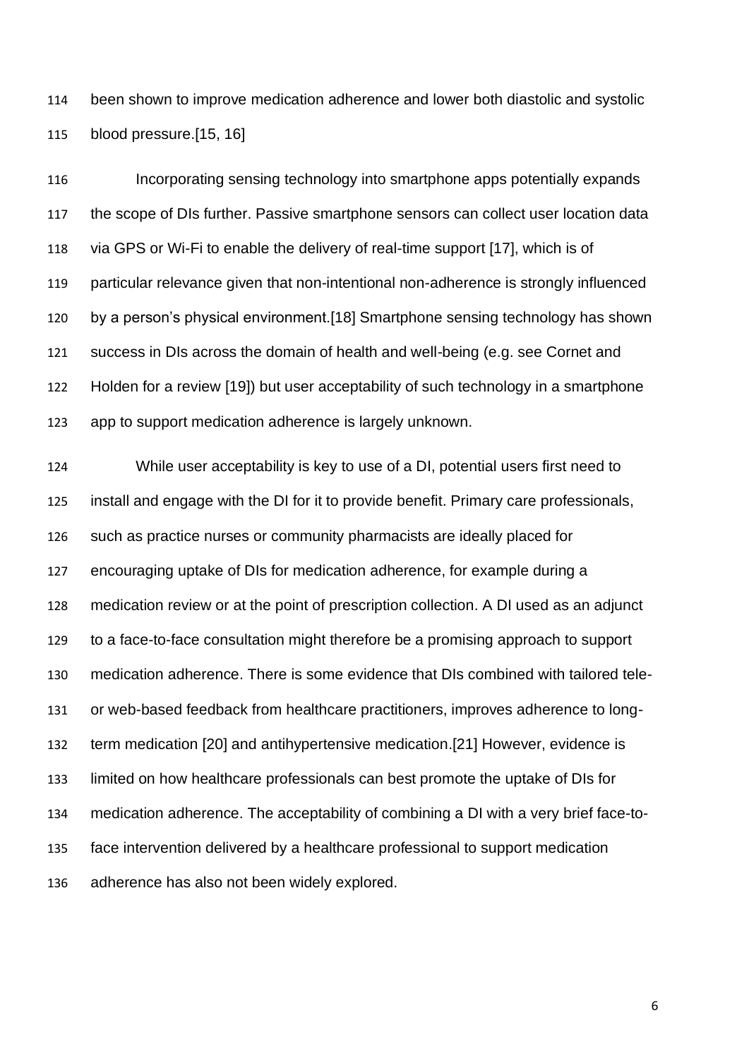been shown to improve medication adherence and lower both diastolic and systolic blood pressure.[15, 16]

 Incorporating sensing technology into smartphone apps potentially expands the scope of DIs further. Passive smartphone sensors can collect user location data via GPS or Wi-Fi to enable the delivery of real-time support [17], which is of particular relevance given that non-intentional non-adherence is strongly influenced by a person's physical environment.[18] Smartphone sensing technology has shown success in DIs across the domain of health and well-being (e.g. see Cornet and Holden for a review [19]) but user acceptability of such technology in a smartphone app to support medication adherence is largely unknown.

 While user acceptability is key to use of a DI, potential users first need to install and engage with the DI for it to provide benefit. Primary care professionals, such as practice nurses or community pharmacists are ideally placed for encouraging uptake of DIs for medication adherence, for example during a medication review or at the point of prescription collection. A DI used as an adjunct to a face-to-face consultation might therefore be a promising approach to support medication adherence. There is some evidence that DIs combined with tailored tele- or web-based feedback from healthcare practitioners, improves adherence to long- term medication [20] and antihypertensive medication.[21] However, evidence is limited on how healthcare professionals can best promote the uptake of DIs for medication adherence. The acceptability of combining a DI with a very brief face-to- face intervention delivered by a healthcare professional to support medication adherence has also not been widely explored.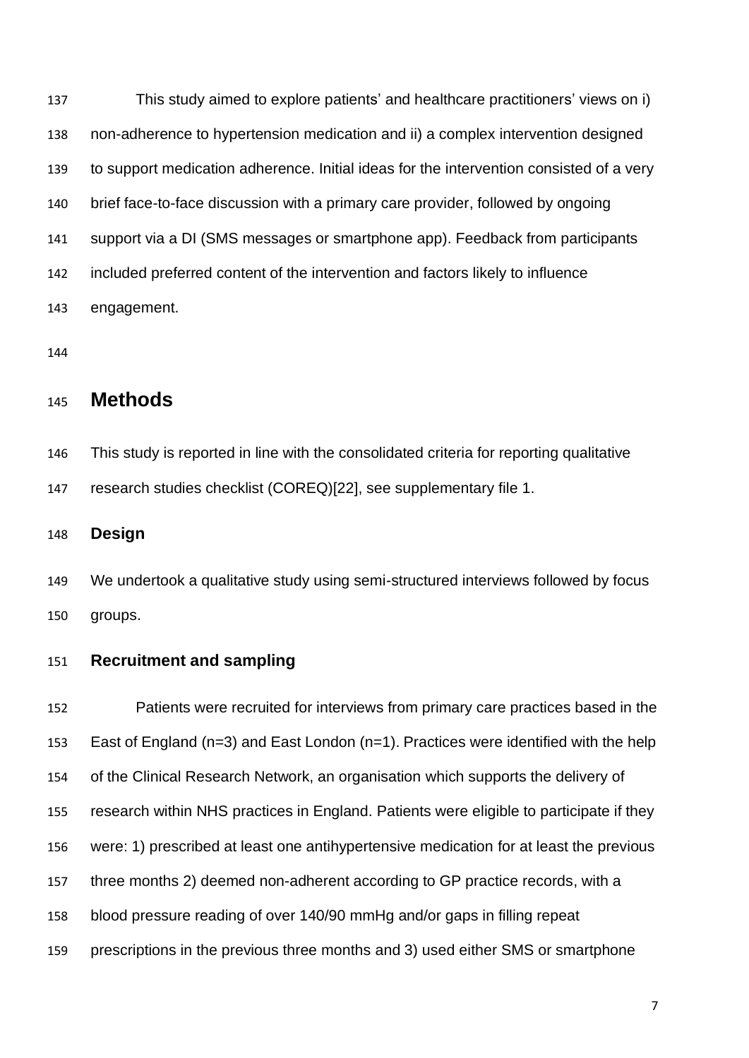This study aimed to explore patients' and healthcare practitioners' views on i) non-adherence to hypertension medication and ii) a complex intervention designed to support medication adherence. Initial ideas for the intervention consisted of a very brief face-to-face discussion with a primary care provider, followed by ongoing support via a DI (SMS messages or smartphone app). Feedback from participants included preferred content of the intervention and factors likely to influence engagement.

# **Methods**

 This study is reported in line with the consolidated criteria for reporting qualitative research studies checklist (COREQ)[22], see supplementary file 1.

**Design**

 We undertook a qualitative study using semi-structured interviews followed by focus groups.

### **Recruitment and sampling**

 Patients were recruited for interviews from primary care practices based in the East of England (n=3) and East London (n=1). Practices were identified with the help of the Clinical Research Network, an organisation which supports the delivery of research within NHS practices in England. Patients were eligible to participate if they were: 1) prescribed at least one antihypertensive medication for at least the previous three months 2) deemed non-adherent according to GP practice records, with a blood pressure reading of over 140/90 mmHg and/or gaps in filling repeat prescriptions in the previous three months and 3) used either SMS or smartphone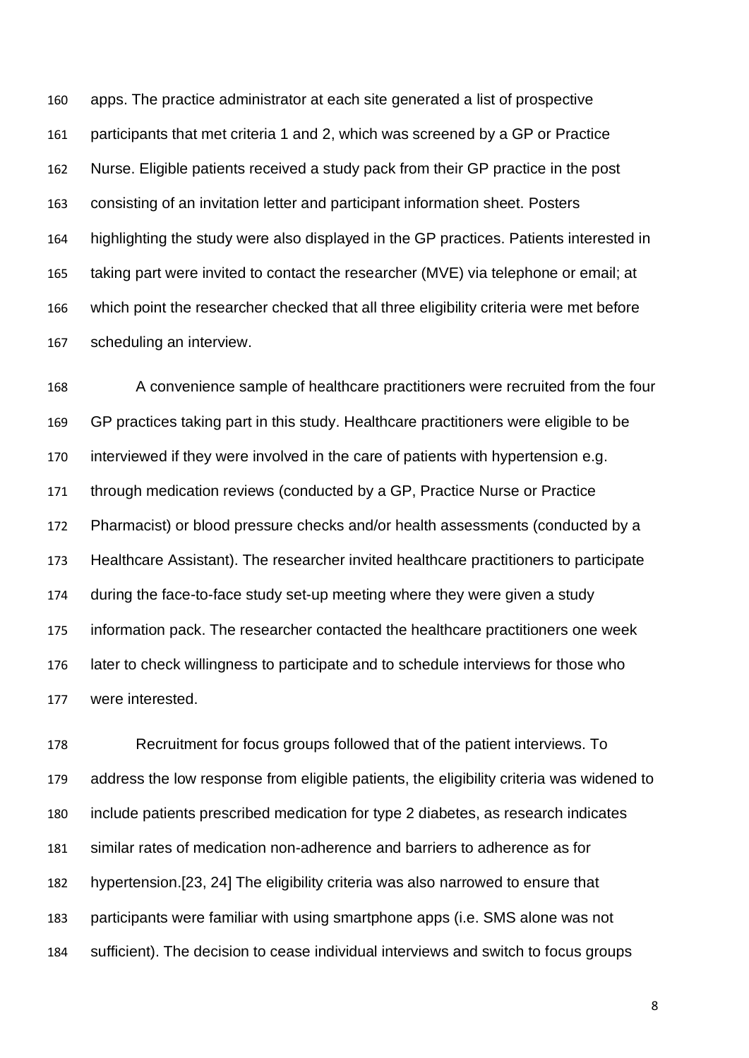apps. The practice administrator at each site generated a list of prospective participants that met criteria 1 and 2, which was screened by a GP or Practice Nurse. Eligible patients received a study pack from their GP practice in the post consisting of an invitation letter and participant information sheet. Posters highlighting the study were also displayed in the GP practices. Patients interested in taking part were invited to contact the researcher (MVE) via telephone or email; at which point the researcher checked that all three eligibility criteria were met before scheduling an interview.

 A convenience sample of healthcare practitioners were recruited from the four GP practices taking part in this study. Healthcare practitioners were eligible to be interviewed if they were involved in the care of patients with hypertension e.g. through medication reviews (conducted by a GP, Practice Nurse or Practice Pharmacist) or blood pressure checks and/or health assessments (conducted by a Healthcare Assistant). The researcher invited healthcare practitioners to participate during the face-to-face study set-up meeting where they were given a study information pack. The researcher contacted the healthcare practitioners one week later to check willingness to participate and to schedule interviews for those who were interested.

 Recruitment for focus groups followed that of the patient interviews. To address the low response from eligible patients, the eligibility criteria was widened to include patients prescribed medication for type 2 diabetes, as research indicates similar rates of medication non-adherence and barriers to adherence as for hypertension.[23, 24] The eligibility criteria was also narrowed to ensure that participants were familiar with using smartphone apps (i.e. SMS alone was not sufficient). The decision to cease individual interviews and switch to focus groups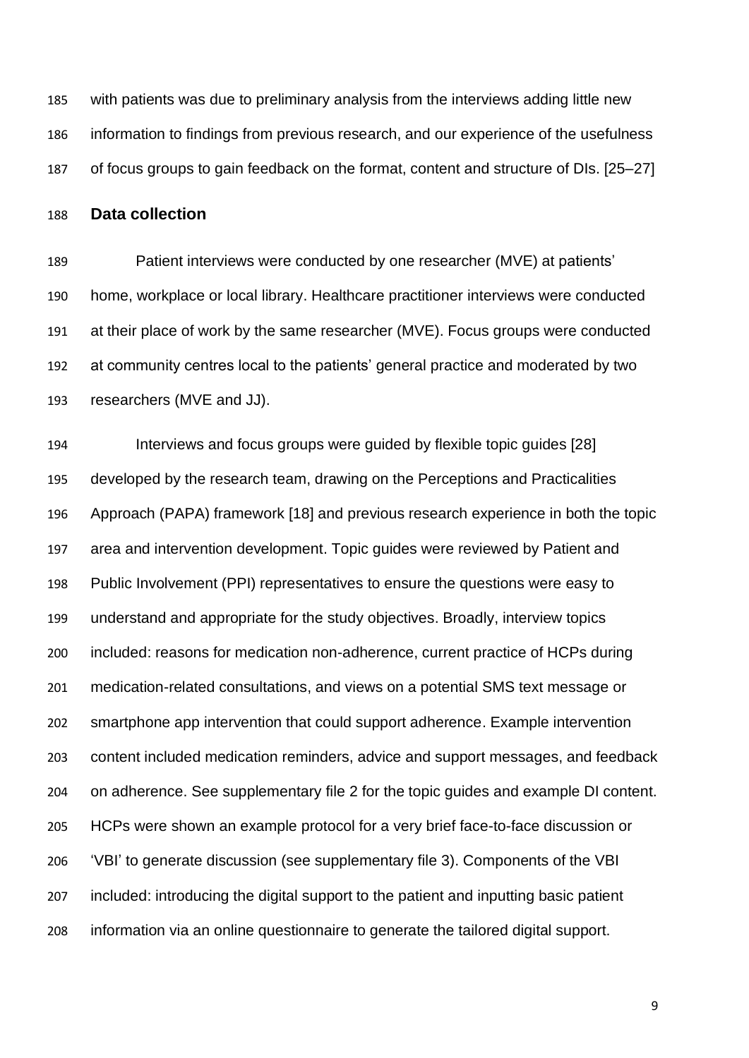with patients was due to preliminary analysis from the interviews adding little new information to findings from previous research, and our experience of the usefulness of focus groups to gain feedback on the format, content and structure of DIs. [25–27]

**Data collection**

 Patient interviews were conducted by one researcher (MVE) at patients' home, workplace or local library. Healthcare practitioner interviews were conducted at their place of work by the same researcher (MVE). Focus groups were conducted at community centres local to the patients' general practice and moderated by two researchers (MVE and JJ).

 Interviews and focus groups were guided by flexible topic guides [28] developed by the research team, drawing on the Perceptions and Practicalities Approach (PAPA) framework [18] and previous research experience in both the topic area and intervention development. Topic guides were reviewed by Patient and Public Involvement (PPI) representatives to ensure the questions were easy to understand and appropriate for the study objectives. Broadly, interview topics included: reasons for medication non-adherence, current practice of HCPs during medication-related consultations, and views on a potential SMS text message or smartphone app intervention that could support adherence. Example intervention content included medication reminders, advice and support messages, and feedback on adherence. See supplementary file 2 for the topic guides and example DI content. HCPs were shown an example protocol for a very brief face-to-face discussion or 'VBI' to generate discussion (see supplementary file 3). Components of the VBI included: introducing the digital support to the patient and inputting basic patient information via an online questionnaire to generate the tailored digital support.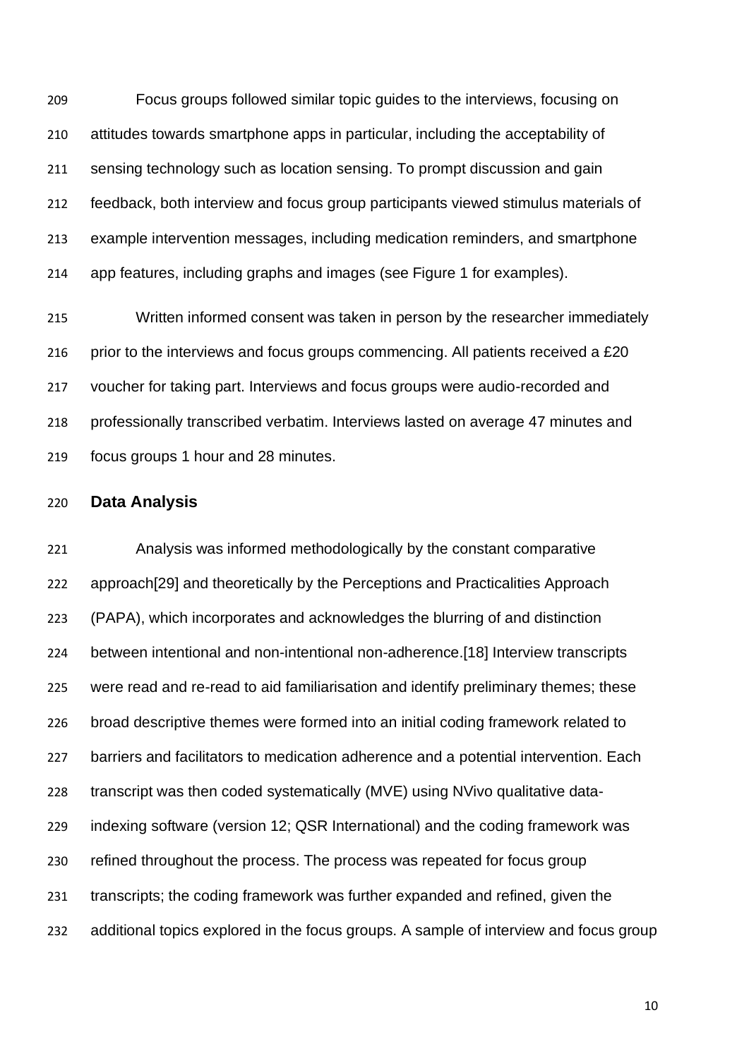Focus groups followed similar topic guides to the interviews, focusing on attitudes towards smartphone apps in particular, including the acceptability of sensing technology such as location sensing. To prompt discussion and gain feedback, both interview and focus group participants viewed stimulus materials of example intervention messages, including medication reminders, and smartphone app features, including graphs and images (see Figure 1 for examples).

 Written informed consent was taken in person by the researcher immediately 216 prior to the interviews and focus groups commencing. All patients received a £20 voucher for taking part. Interviews and focus groups were audio-recorded and professionally transcribed verbatim. Interviews lasted on average 47 minutes and focus groups 1 hour and 28 minutes.

### **Data Analysis**

 Analysis was informed methodologically by the constant comparative approach[29] and theoretically by the Perceptions and Practicalities Approach (PAPA), which incorporates and acknowledges the blurring of and distinction between intentional and non-intentional non-adherence.[18] Interview transcripts were read and re-read to aid familiarisation and identify preliminary themes; these broad descriptive themes were formed into an initial coding framework related to barriers and facilitators to medication adherence and a potential intervention. Each transcript was then coded systematically (MVE) using NVivo qualitative data- indexing software (version 12; QSR International) and the coding framework was refined throughout the process. The process was repeated for focus group transcripts; the coding framework was further expanded and refined, given the additional topics explored in the focus groups. A sample of interview and focus group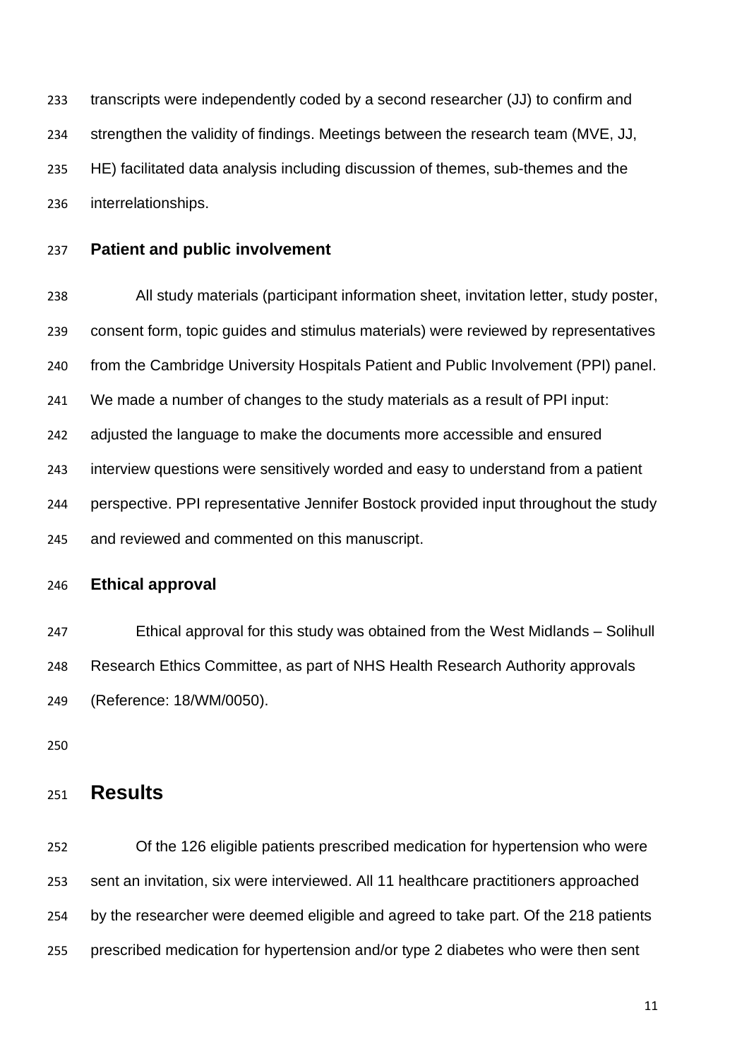transcripts were independently coded by a second researcher (JJ) to confirm and strengthen the validity of findings. Meetings between the research team (MVE, JJ, HE) facilitated data analysis including discussion of themes, sub-themes and the interrelationships.

### **Patient and public involvement**

 All study materials (participant information sheet, invitation letter, study poster, consent form, topic guides and stimulus materials) were reviewed by representatives from the Cambridge University Hospitals Patient and Public Involvement (PPI) panel. We made a number of changes to the study materials as a result of PPI input: adjusted the language to make the documents more accessible and ensured interview questions were sensitively worded and easy to understand from a patient perspective. PPI representative Jennifer Bostock provided input throughout the study and reviewed and commented on this manuscript.

### **Ethical approval**

 Ethical approval for this study was obtained from the West Midlands – Solihull Research Ethics Committee, as part of NHS Health Research Authority approvals (Reference: 18/WM/0050).

# **Results**

 Of the 126 eligible patients prescribed medication for hypertension who were sent an invitation, six were interviewed. All 11 healthcare practitioners approached by the researcher were deemed eligible and agreed to take part. Of the 218 patients prescribed medication for hypertension and/or type 2 diabetes who were then sent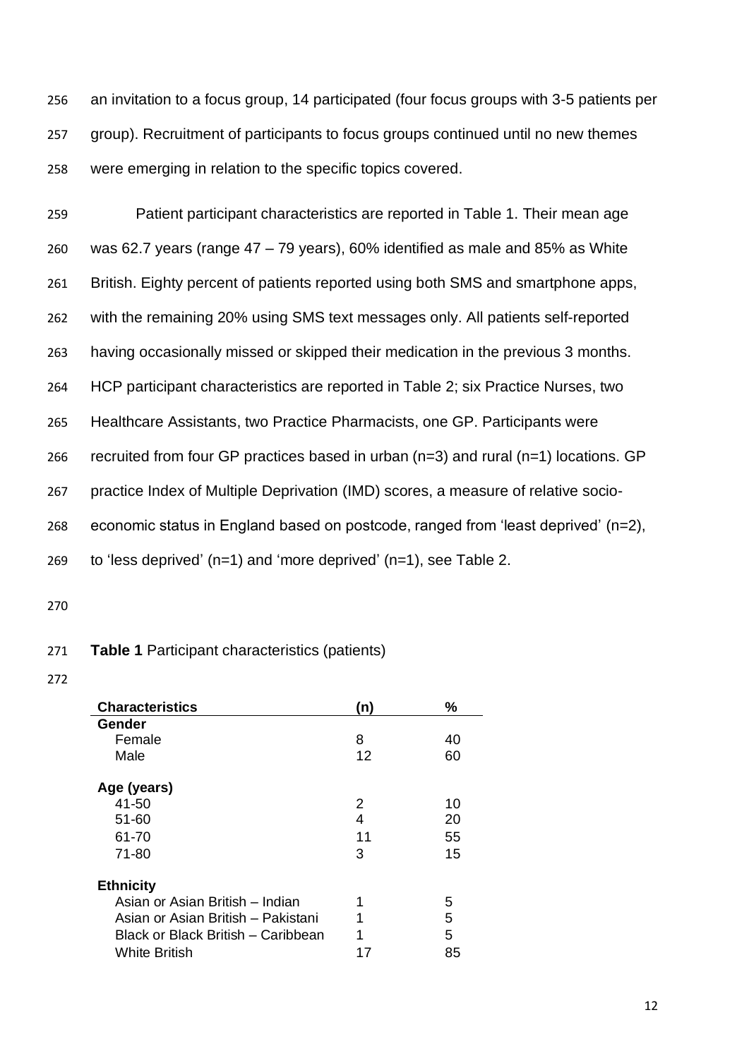256 an invitation to a focus group, 14 participated (four focus groups with 3-5 patients per 257 group). Recruitment of participants to focus groups continued until no new themes 258 were emerging in relation to the specific topics covered.

 Patient participant characteristics are reported in Table 1. Their mean age was 62.7 years (range 47 – 79 years), 60% identified as male and 85% as White British. Eighty percent of patients reported using both SMS and smartphone apps, with the remaining 20% using SMS text messages only. All patients self-reported having occasionally missed or skipped their medication in the previous 3 months. HCP participant characteristics are reported in Table 2; six Practice Nurses, two Healthcare Assistants, two Practice Pharmacists, one GP. Participants were recruited from four GP practices based in urban (n=3) and rural (n=1) locations. GP practice Index of Multiple Deprivation (IMD) scores, a measure of relative socio- economic status in England based on postcode, ranged from 'least deprived' (n=2), to 'less deprived' (n=1) and 'more deprived' (n=1), see Table 2.

270

#### 271 **Table 1** Participant characteristics (patients)

| <b>Characteristics</b>             | (n) | ℅  |
|------------------------------------|-----|----|
| Gender                             |     |    |
| Female                             | 8   | 40 |
| Male                               | 12  | 60 |
| Age (years)                        |     |    |
| 41-50                              | 2   | 10 |
| $51 - 60$                          | 4   | 20 |
| 61-70                              | 11  | 55 |
| $71 - 80$                          | 3   | 15 |
| <b>Ethnicity</b>                   |     |    |
| Asian or Asian British – Indian    | 1   | 5  |
| Asian or Asian British – Pakistani | 1   | 5  |
| Black or Black British – Caribbean | 1   | 5  |
| <b>White British</b>               |     | 85 |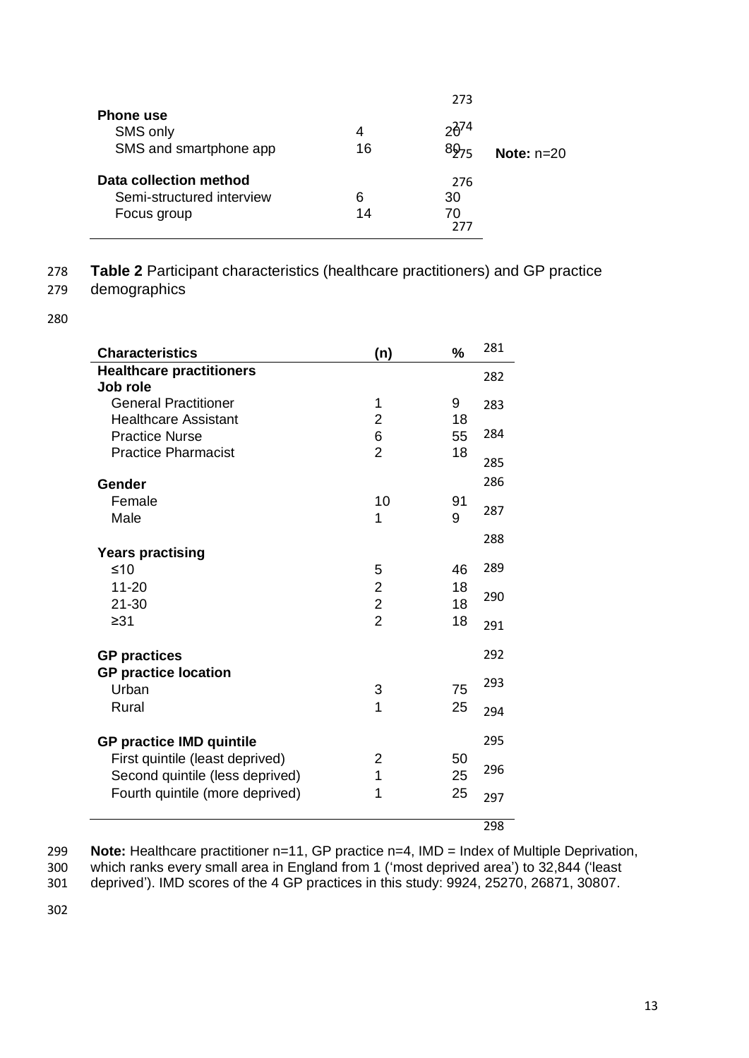|                                                                    |         | 273                                  |              |
|--------------------------------------------------------------------|---------|--------------------------------------|--------------|
| <b>Phone use</b><br>SMS only<br>SMS and smartphone app             | 4<br>16 | $2\frac{2}{3}$ <sup>74</sup><br>8975 | Note: $n=20$ |
| Data collection method<br>Semi-structured interview<br>Focus group | 6<br>14 | 276<br>30<br>70<br>777               |              |

## 278 **Table 2** Participant characteristics (healthcare practitioners) and GP practice

## 279 demographics

280

| <b>Characteristics</b>               | (n)            | $\frac{9}{6}$ | 281 |
|--------------------------------------|----------------|---------------|-----|
| <b>Healthcare practitioners</b>      |                |               | 282 |
| Job role                             |                |               |     |
| <b>General Practitioner</b>          | 1              | 9             | 283 |
| <b>Healthcare Assistant</b>          | $\overline{2}$ | 18            |     |
| <b>Practice Nurse</b>                | 6              | 55            | 284 |
| <b>Practice Pharmacist</b>           | $\overline{2}$ | 18            |     |
|                                      |                |               | 285 |
| Gender                               |                |               | 286 |
| Female                               | 10             | 91            | 287 |
| Male                                 | 1              | 9             |     |
|                                      |                |               | 288 |
| <b>Years practising</b>              |                |               |     |
| $≤10$                                | 5              | 46            | 289 |
| $11 - 20$                            | $\overline{c}$ | 18            | 290 |
| $21 - 30$                            | $\overline{c}$ | 18            |     |
| $\geq 31$                            | $\overline{2}$ | 18            | 291 |
| <b>GP practices</b>                  |                |               | 292 |
|                                      |                |               |     |
| <b>GP practice location</b><br>Urban | 3              | 75            | 293 |
|                                      | 1              |               |     |
| Rural                                |                | 25            | 294 |
| <b>GP practice IMD quintile</b>      |                | 295           |     |
| First quintile (least deprived)      | 2              | 50            |     |
| Second quintile (less deprived)      | 1              | 25            | 296 |
| Fourth quintile (more deprived)      | 1              | 25            |     |
|                                      |                |               | 297 |
|                                      |                |               | 298 |

299 **Note:** Healthcare practitioner n=11, GP practice n=4, IMD = Index of Multiple Deprivation,

300 which ranks every small area in England from 1 ('most deprived area') to 32,844 ('least

301 deprived'). IMD scores of the 4 GP practices in this study: 9924, 25270, 26871, 30807.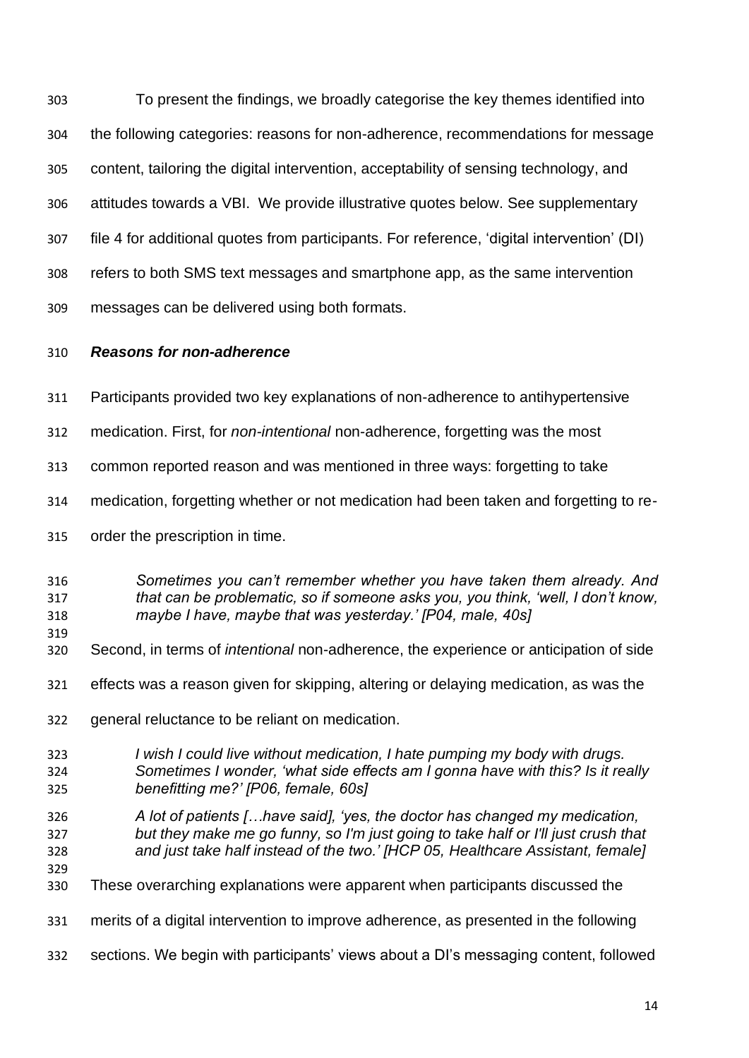To present the findings, we broadly categorise the key themes identified into the following categories: reasons for non-adherence, recommendations for message content, tailoring the digital intervention, acceptability of sensing technology, and attitudes towards a VBI. We provide illustrative quotes below. See supplementary file 4 for additional quotes from participants. For reference, 'digital intervention' (DI) refers to both SMS text messages and smartphone app, as the same intervention messages can be delivered using both formats.

## *Reasons for non-adherence*

- Participants provided two key explanations of non-adherence to antihypertensive
- medication. First, for *non-intentional* non-adherence, forgetting was the most
- common reported reason and was mentioned in three ways: forgetting to take
- medication, forgetting whether or not medication had been taken and forgetting to re-
- order the prescription in time.
- *Sometimes you can't remember whether you have taken them already. And that can be problematic, so if someone asks you, you think, 'well, I don't know, maybe I have, maybe that was yesterday.' [P04, male, 40s]*
- Second, in terms of *intentional* non-adherence, the experience or anticipation of side
- effects was a reason given for skipping, altering or delaying medication, as was the
- general reluctance to be reliant on medication.
- *I wish I could live without medication, I hate pumping my body with drugs. Sometimes I wonder, 'what side effects am I gonna have with this? Is it really benefitting me?' [P06, female, 60s]*
- *A lot of patients […have said], 'yes, the doctor has changed my medication, but they make me go funny, so I'm just going to take half or I'll just crush that and just take half instead of the two.' [HCP 05, Healthcare Assistant, female]*
- These overarching explanations were apparent when participants discussed the
- merits of a digital intervention to improve adherence, as presented in the following
- sections. We begin with participants' views about a DI's messaging content, followed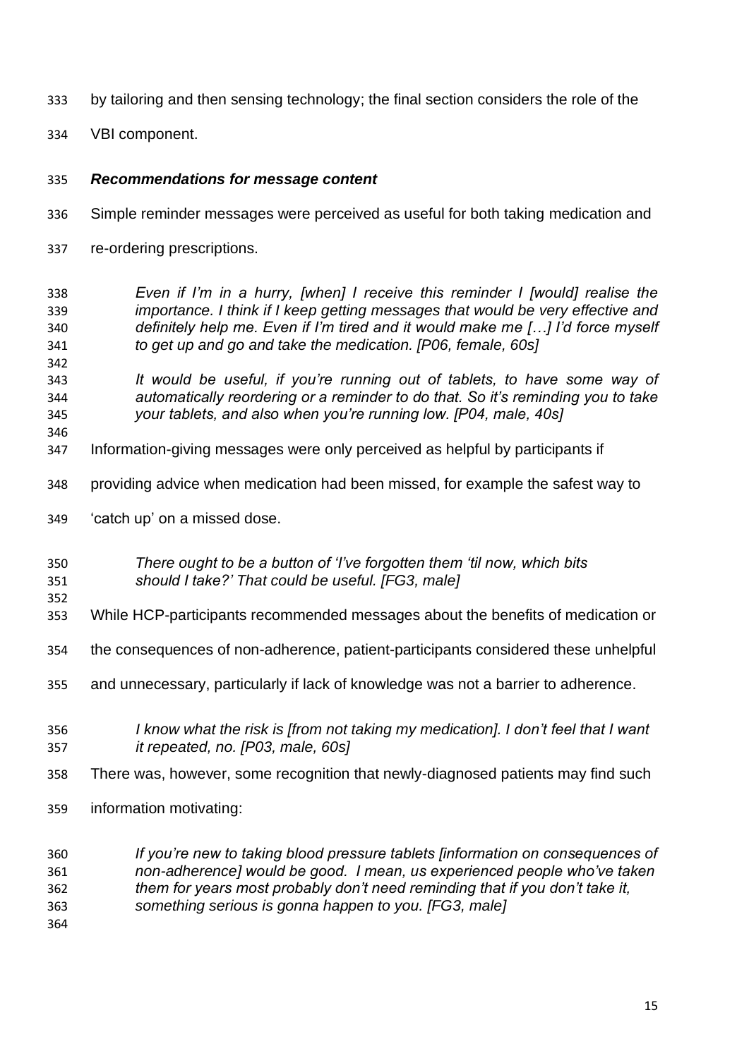- by tailoring and then sensing technology; the final section considers the role of the
- VBI component.

### *Recommendations for message content*

- Simple reminder messages were perceived as useful for both taking medication and
- re-ordering prescriptions.
- *Even if I'm in a hurry, [when] I receive this reminder I [would] realise the importance. I think if I keep getting messages that would be very effective and definitely help me. Even if I'm tired and it would make me […] I'd force myself to get up and go and take the medication. [P06, female, 60s]*
- *It would be useful, if you're running out of tablets, to have some way of automatically reordering or a reminder to do that. So it's reminding you to take your tablets, and also when you're running low. [P04, male, 40s]*
- Information-giving messages were only perceived as helpful by participants if
- providing advice when medication had been missed, for example the safest way to
- 'catch up' on a missed dose.

#### *There ought to be a button of 'I've forgotten them 'til now, which bits should I take?' That could be useful. [FG3, male]*

While HCP-participants recommended messages about the benefits of medication or

the consequences of non-adherence, patient-participants considered these unhelpful

- and unnecessary, particularly if lack of knowledge was not a barrier to adherence.
- *I know what the risk is [from not taking my medication]. I don't feel that I want it repeated, no. [P03, male, 60s]*
- There was, however, some recognition that newly-diagnosed patients may find such
- information motivating:

## *If you're new to taking blood pressure tablets [information on consequences of non-adherence] would be good. I mean, us experienced people who've taken them for years most probably don't need reminding that if you don't take it,*

*something serious is gonna happen to you. [FG3, male]*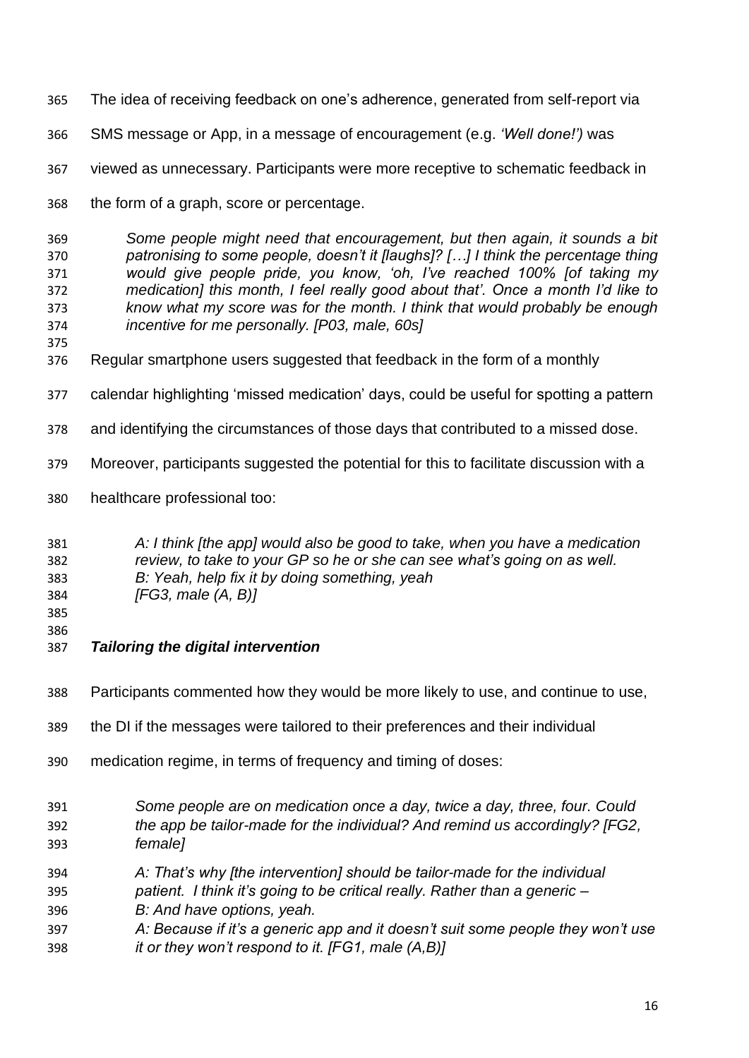- The idea of receiving feedback on one's adherence, generated from self-report via
- SMS message or App, in a message of encouragement (e.g. *'Well done!')* was
- viewed as unnecessary. Participants were more receptive to schematic feedback in
- the form of a graph, score or percentage.

 *Some people might need that encouragement, but then again, it sounds a bit patronising to some people, doesn't it [laughs]? […] I think the percentage thing would give people pride, you know, 'oh, I've reached 100% [of taking my medication] this month, I feel really good about that'. Once a month I'd like to know what my score was for the month. I think that would probably be enough incentive for me personally. [P03, male, 60s]*

- 
- Regular smartphone users suggested that feedback in the form of a monthly
- calendar highlighting 'missed medication' days, could be useful for spotting a pattern
- and identifying the circumstances of those days that contributed to a missed dose.
- Moreover, participants suggested the potential for this to facilitate discussion with a
- healthcare professional too:

 *A: I think [the app] would also be good to take, when you have a medication review, to take to your GP so he or she can see what's going on as well. B: Yeah, help fix it by doing something, yeah [FG3, male (A, B)]*

- 
- 
- *Tailoring the digital intervention*
- Participants commented how they would be more likely to use, and continue to use,
- the DI if the messages were tailored to their preferences and their individual
- medication regime, in terms of frequency and timing of doses:
- *Some people are on medication once a day, twice a day, three, four. Could the app be tailor-made for the individual? And remind us accordingly? [FG2, female]*
- *A: That's why [the intervention] should be tailor-made for the individual*
- *patient. I think it's going to be critical really. Rather than a generic –*
- *B: And have options, yeah.*
- *A: Because if it's a generic app and it doesn't suit some people they won't use it or they won't respond to it. [FG1, male (A,B)]*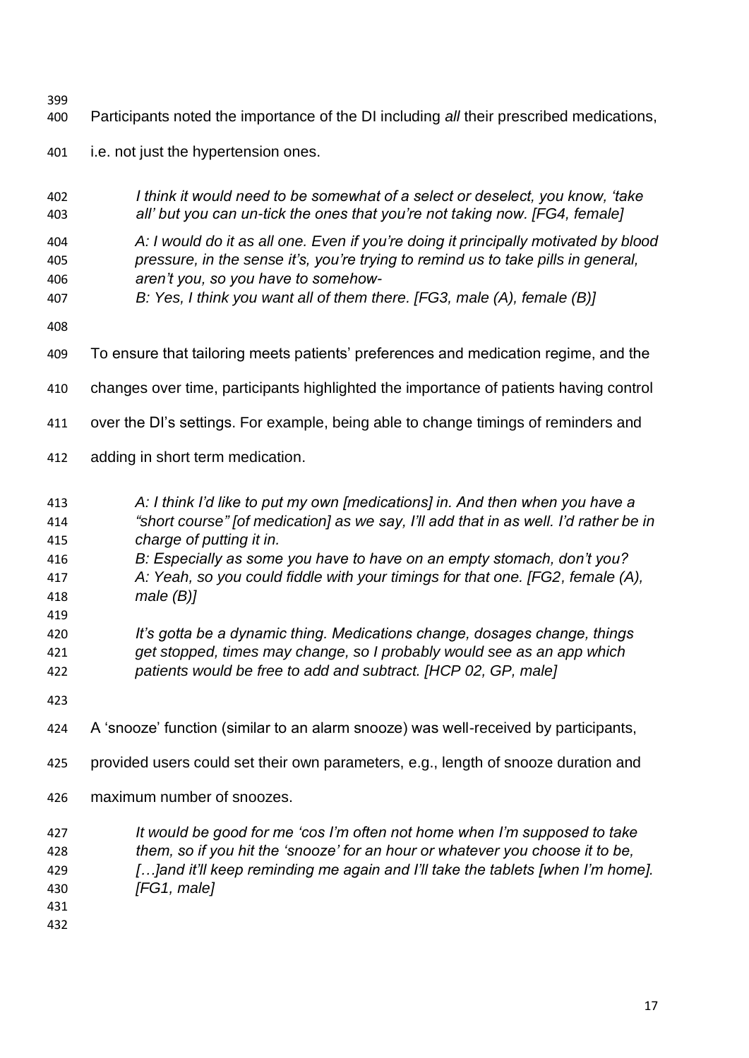- 
- Participants noted the importance of the DI including *all* their prescribed medications,
- i.e. not just the hypertension ones.
- *I think it would need to be somewhat of a select or deselect, you know, 'take all' but you can un-tick the ones that you're not taking now. [FG4, female]*
- *A: I would do it as all one. Even if you're doing it principally motivated by blood pressure, in the sense it's, you're trying to remind us to take pills in general, aren't you, so you have to somehow-*
- *B: Yes, I think you want all of them there. [FG3, male (A), female (B)]*
- 
- To ensure that tailoring meets patients' preferences and medication regime, and the
- changes over time, participants highlighted the importance of patients having control
- over the DI's settings. For example, being able to change timings of reminders and
- adding in short term medication.
- *A: I think I'd like to put my own [medications] in. And then when you have a "short course" [of medication] as we say, I'll add that in as well. I'd rather be in*
- *charge of putting it in.*
- *B: Especially as some you have to have on an empty stomach, don't you? A: Yeah, so you could fiddle with your timings for that one. [FG2, female (A), male (B)]*
- *It's gotta be a dynamic thing. Medications change, dosages change, things get stopped, times may change, so I probably would see as an app which patients would be free to add and subtract. [HCP 02, GP, male]*
- 

- A 'snooze' function (similar to an alarm snooze) was well-received by participants,
- provided users could set their own parameters, e.g., length of snooze duration and
- maximum number of snoozes.
- *It would be good for me 'cos I'm often not home when I'm supposed to take them, so if you hit the 'snooze' for an hour or whatever you choose it to be, […]and it'll keep reminding me again and I'll take the tablets [when I'm home].*
- *[FG1, male]*
- 
-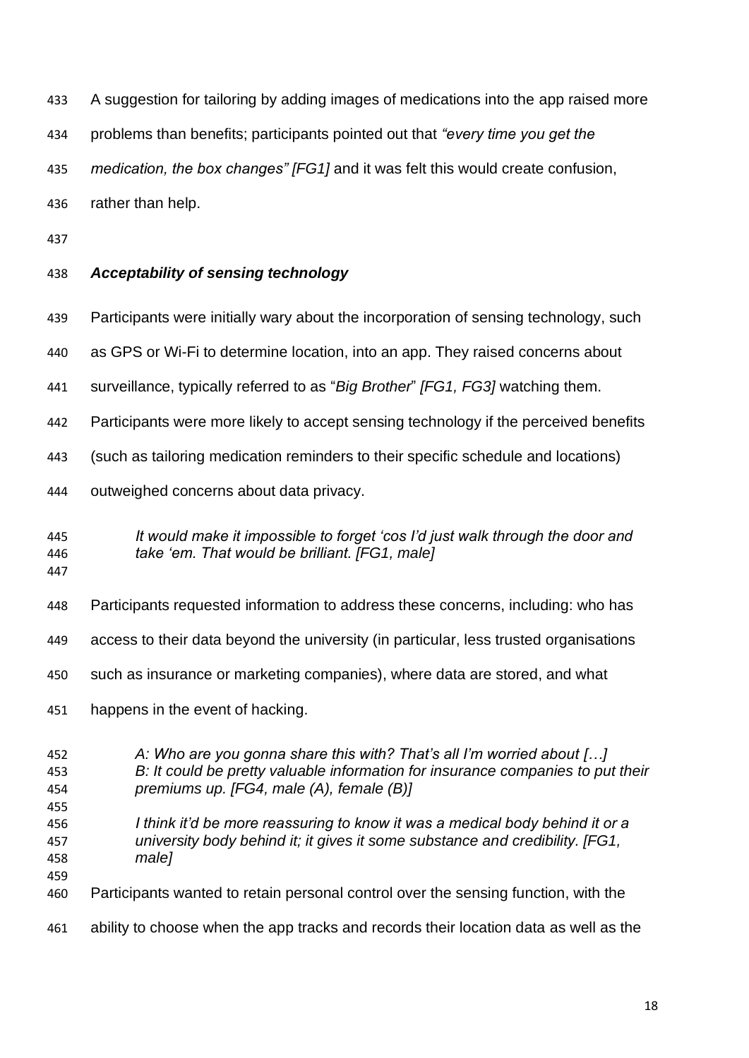A suggestion for tailoring by adding images of medications into the app raised more

problems than benefits; participants pointed out that *"every time you get the* 

*medication, the box changes" [FG1]* and it was felt this would create confusion,

rather than help.

# *Acceptability of sensing technology*

- Participants were initially wary about the incorporation of sensing technology, such
- as GPS or Wi-Fi to determine location, into an app. They raised concerns about
- surveillance, typically referred to as "*Big Brother*" *[FG1, FG3]* watching them.
- Participants were more likely to accept sensing technology if the perceived benefits
- (such as tailoring medication reminders to their specific schedule and locations)
- outweighed concerns about data privacy.

# *It would make it impossible to forget 'cos I'd just walk through the door and take 'em. That would be brilliant. [FG1, male]*

- Participants requested information to address these concerns, including: who has
- access to their data beyond the university (in particular, less trusted organisations
- such as insurance or marketing companies), where data are stored, and what
- happens in the event of hacking.
- *A: Who are you gonna share this with? That's all I'm worried about […] B: It could be pretty valuable information for insurance companies to put their premiums up. [FG4, male (A), female (B)] I think it'd be more reassuring to know it was a medical body behind it or a university body behind it; it gives it some substance and credibility. [FG1, male]* Participants wanted to retain personal control over the sensing function, with the ability to choose when the app tracks and records their location data as well as the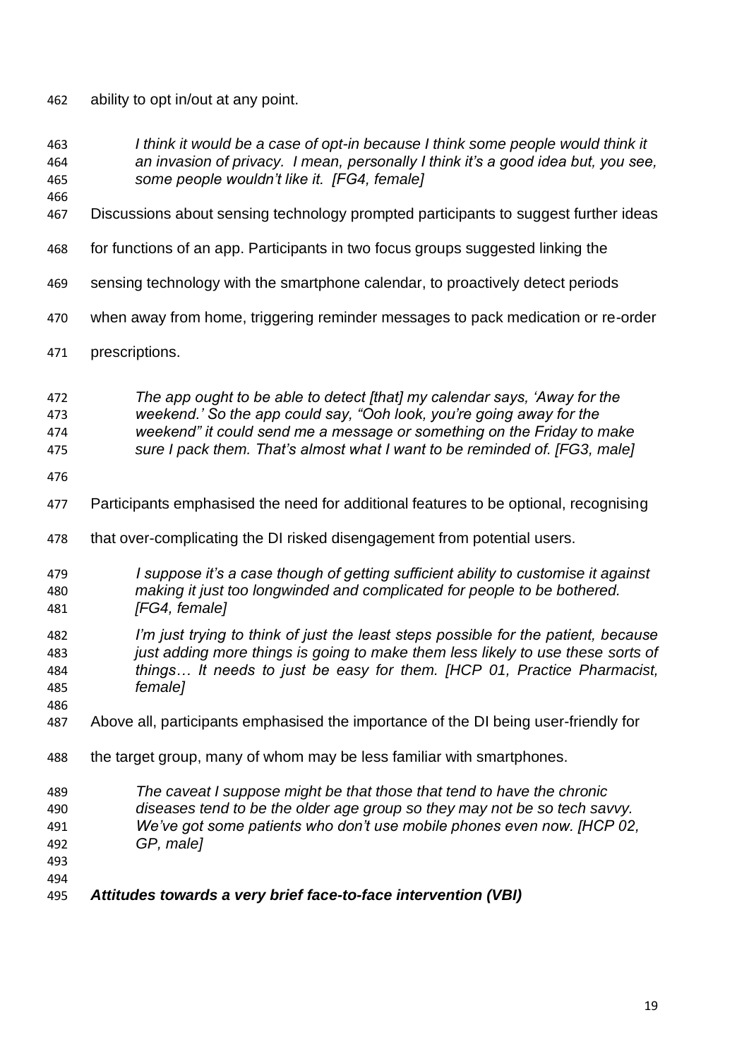ability to opt in/out at any point.

- *I think it would be a case of opt-in because I think some people would think it an invasion of privacy. I mean, personally I think it's a good idea but, you see, some people wouldn't like it. [FG4, female]*
- Discussions about sensing technology prompted participants to suggest further ideas
- for functions of an app. Participants in two focus groups suggested linking the
- sensing technology with the smartphone calendar, to proactively detect periods
- when away from home, triggering reminder messages to pack medication or re-order
- prescriptions.

 *The app ought to be able to detect [that] my calendar says, 'Away for the weekend.' So the app could say, "Ooh look, you're going away for the weekend" it could send me a message or something on the Friday to make* 

- *sure I pack them. That's almost what I want to be reminded of. [FG3, male]*
- 

- Participants emphasised the need for additional features to be optional, recognising
- 478 that over-complicating the DI risked disengagement from potential users.
- *I suppose it's a case though of getting sufficient ability to customise it against making it just too longwinded and complicated for people to be bothered. [FG4, female]*
- *I'm just trying to think of just the least steps possible for the patient, because just adding more things is going to make them less likely to use these sorts of things… It needs to just be easy for them. [HCP 01, Practice Pharmacist, female]*
- Above all, participants emphasised the importance of the DI being user-friendly for
- the target group, many of whom may be less familiar with smartphones.
- *The caveat I suppose might be that those that tend to have the chronic*
- *diseases tend to be the older age group so they may not be so tech savvy. We've got some patients who don't use mobile phones even now. [HCP 02,*
- *GP, male]*

- 
- *Attitudes towards a very brief face-to-face intervention (VBI)*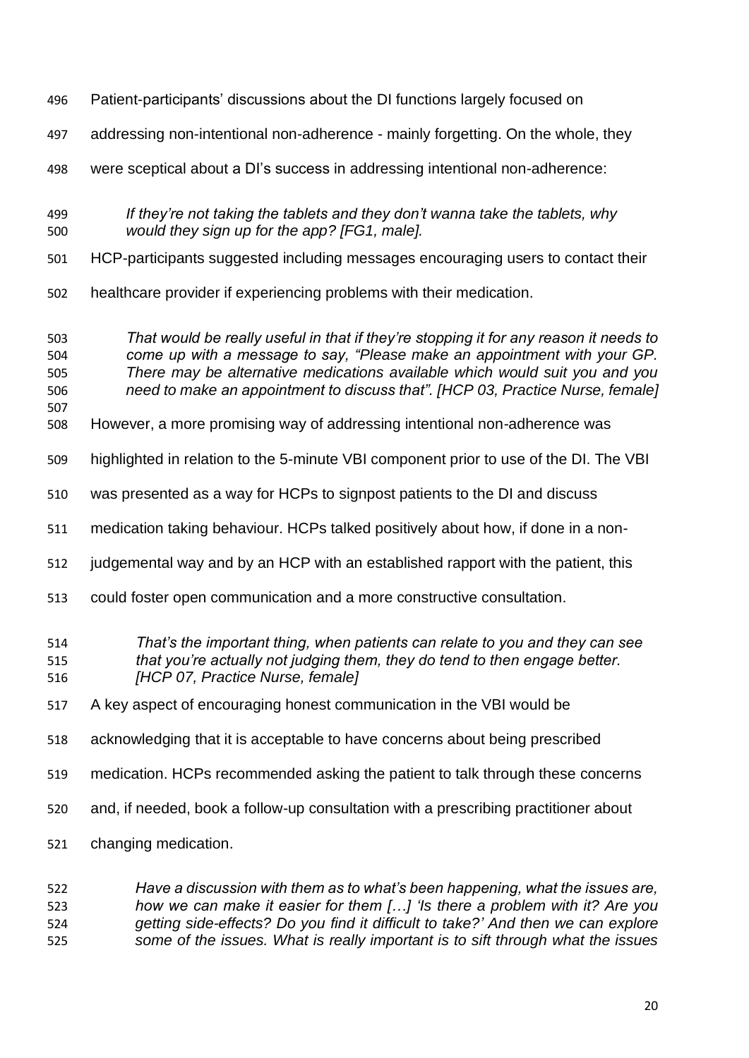- Patient-participants' discussions about the DI functions largely focused on
- addressing non-intentional non-adherence mainly forgetting. On the whole, they
- were sceptical about a DI's success in addressing intentional non-adherence:
- *If they're not taking the tablets and they don't wanna take the tablets, why would they sign up for the app? [FG1, male].*
- HCP-participants suggested including messages encouraging users to contact their
- healthcare provider if experiencing problems with their medication.
- *That would be really useful in that if they're stopping it for any reason it needs to come up with a message to say, "Please make an appointment with your GP. There may be alternative medications available which would suit you and you need to make an appointment to discuss that". [HCP 03, Practice Nurse, female]*
- However, a more promising way of addressing intentional non-adherence was
- highlighted in relation to the 5-minute VBI component prior to use of the DI. The VBI
- was presented as a way for HCPs to signpost patients to the DI and discuss
- medication taking behaviour. HCPs talked positively about how, if done in a non-
- judgemental way and by an HCP with an established rapport with the patient, this
- could foster open communication and a more constructive consultation.

# *That's the important thing, when patients can relate to you and they can see that you're actually not judging them, they do tend to then engage better.*

- *[HCP 07, Practice Nurse, female]*
- A key aspect of encouraging honest communication in the VBI would be
- acknowledging that it is acceptable to have concerns about being prescribed
- medication. HCPs recommended asking the patient to talk through these concerns
- and, if needed, book a follow-up consultation with a prescribing practitioner about
- changing medication.

### *Have a discussion with them as to what's been happening, what the issues are, how we can make it easier for them […] 'Is there a problem with it? Are you getting side-effects? Do you find it difficult to take?' And then we can explore some of the issues. What is really important is to sift through what the issues*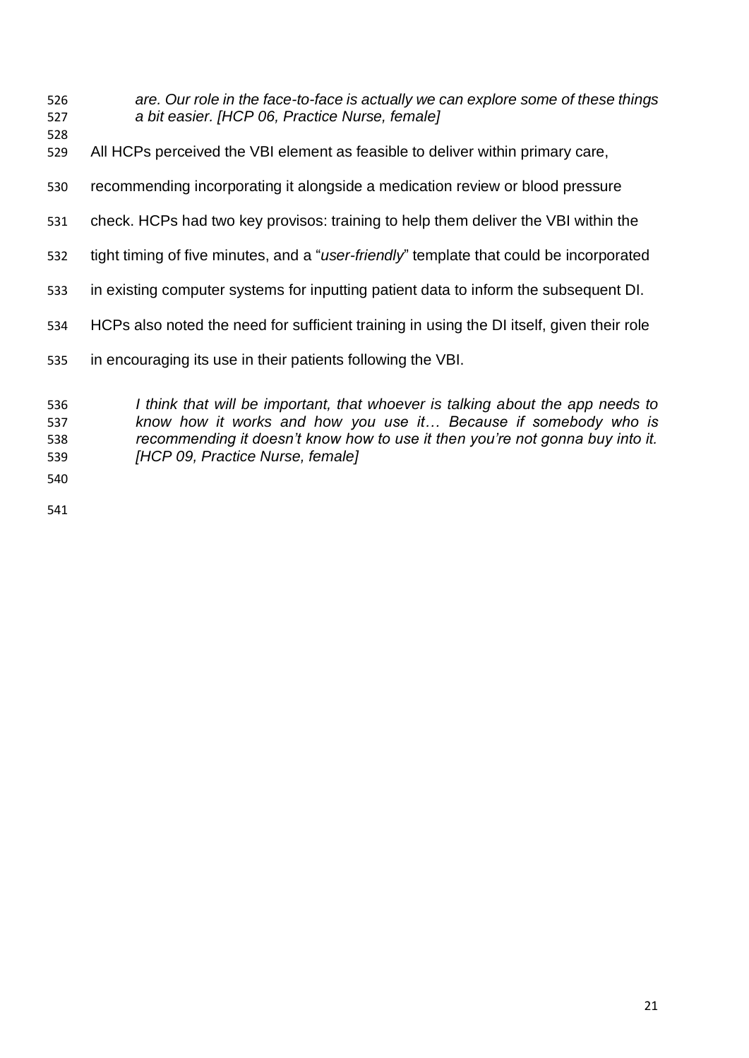- *are. Our role in the face-to-face is actually we can explore some of these things a bit easier. [HCP 06, Practice Nurse, female]*
- 
- All HCPs perceived the VBI element as feasible to deliver within primary care,
- recommending incorporating it alongside a medication review or blood pressure
- check. HCPs had two key provisos: training to help them deliver the VBI within the
- tight timing of five minutes, and a "*user-friendly*" template that could be incorporated
- in existing computer systems for inputting patient data to inform the subsequent DI.
- HCPs also noted the need for sufficient training in using the DI itself, given their role
- in encouraging its use in their patients following the VBI.

 *I think that will be important, that whoever is talking about the app needs to know how it works and how you use it… Because if somebody who is recommending it doesn't know how to use it then you're not gonna buy into it. [HCP 09, Practice Nurse, female]*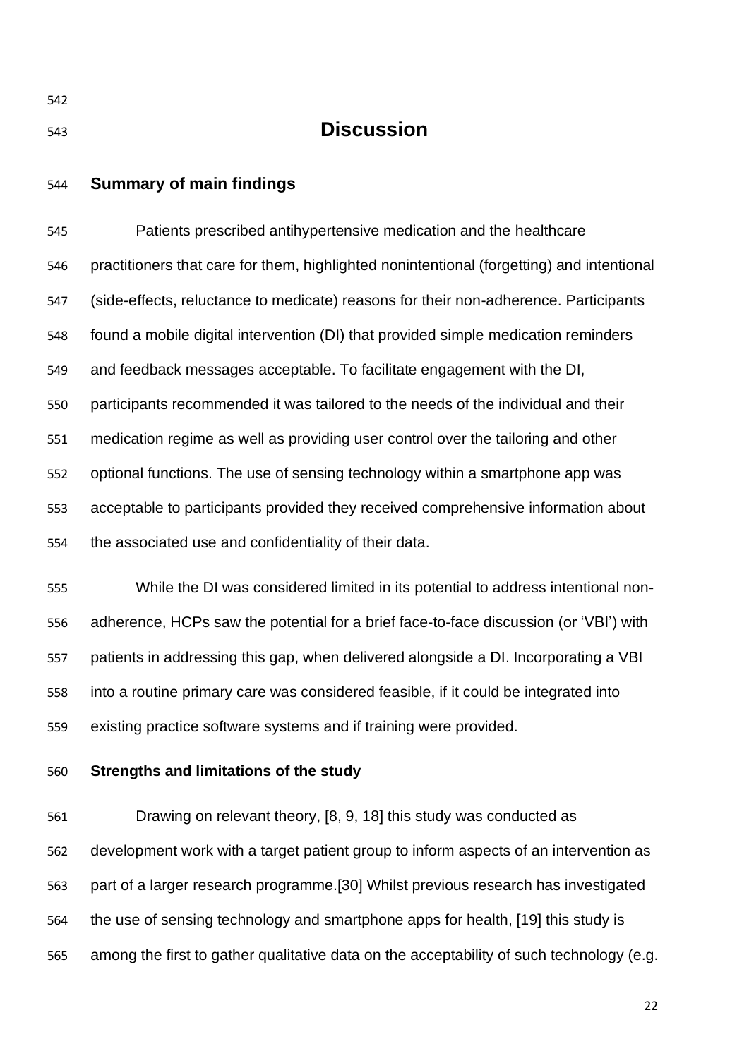| 542 |                                                                                           |
|-----|-------------------------------------------------------------------------------------------|
| 543 | <b>Discussion</b>                                                                         |
| 544 | <b>Summary of main findings</b>                                                           |
| 545 | Patients prescribed antihypertensive medication and the healthcare                        |
| 546 | practitioners that care for them, highlighted nonintentional (forgetting) and intentional |
| 547 | (side-effects, reluctance to medicate) reasons for their non-adherence. Participants      |
| 548 | found a mobile digital intervention (DI) that provided simple medication reminders        |
| 549 | and feedback messages acceptable. To facilitate engagement with the DI,                   |
| 550 | participants recommended it was tailored to the needs of the individual and their         |
| 551 | medication regime as well as providing user control over the tailoring and other          |
| 552 | optional functions. The use of sensing technology within a smartphone app was             |
| 553 | acceptable to participants provided they received comprehensive information about         |
| 554 | the associated use and confidentiality of their data.                                     |
| 555 | While the DI was considered limited in its potential to address intentional non-          |
| 556 | adherence, HCPs saw the potential for a brief face-to-face discussion (or 'VBI') with     |
| 557 | patients in addressing this gap, when delivered alongside a DI. Incorporating a VBI       |
| 558 | into a routine primary care was considered feasible, if it could be integrated into       |
| 559 | existing practice software systems and if training were provided.                         |
| 560 | Strengths and limitations of the study                                                    |
| 561 | Drawing on relevant theory, [8, 9, 18] this study was conducted as                        |
| 562 | development work with a target patient group to inform aspects of an intervention as      |

part of a larger research programme.[30] Whilst previous research has investigated

the use of sensing technology and smartphone apps for health, [19] this study is

among the first to gather qualitative data on the acceptability of such technology (e.g.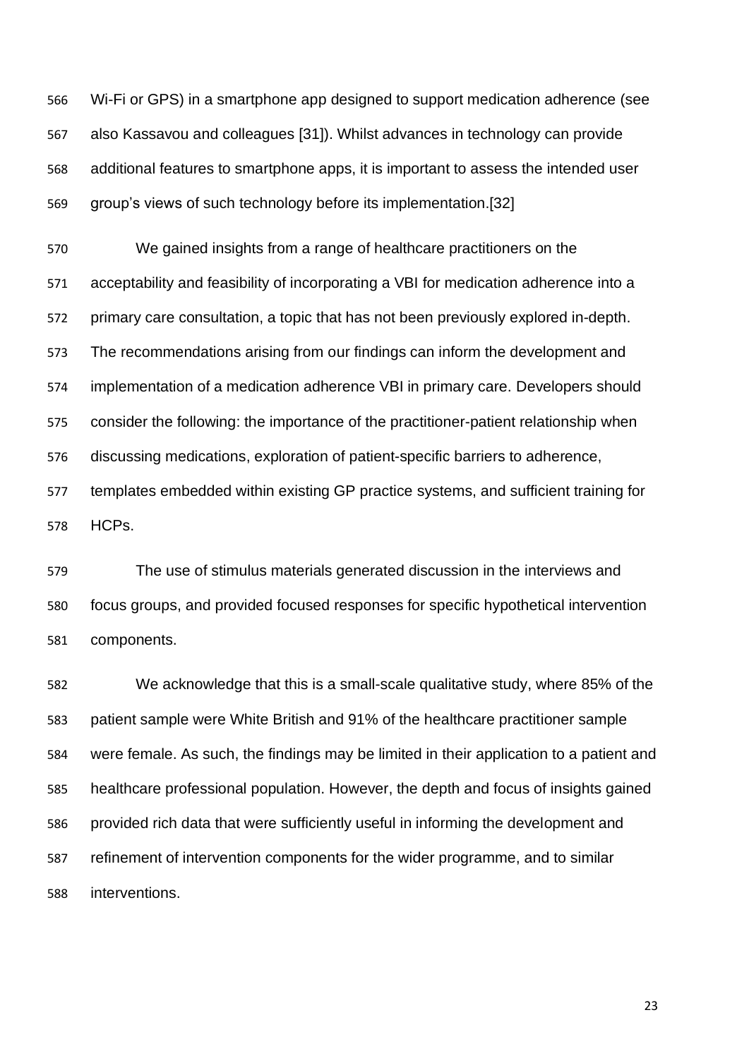Wi-Fi or GPS) in a smartphone app designed to support medication adherence (see also Kassavou and colleagues [31]). Whilst advances in technology can provide additional features to smartphone apps, it is important to assess the intended user group's views of such technology before its implementation.[32]

 We gained insights from a range of healthcare practitioners on the acceptability and feasibility of incorporating a VBI for medication adherence into a primary care consultation, a topic that has not been previously explored in-depth. The recommendations arising from our findings can inform the development and implementation of a medication adherence VBI in primary care. Developers should consider the following: the importance of the practitioner-patient relationship when discussing medications, exploration of patient-specific barriers to adherence, templates embedded within existing GP practice systems, and sufficient training for HCPs.

 The use of stimulus materials generated discussion in the interviews and focus groups, and provided focused responses for specific hypothetical intervention components.

 We acknowledge that this is a small-scale qualitative study, where 85% of the patient sample were White British and 91% of the healthcare practitioner sample were female. As such, the findings may be limited in their application to a patient and healthcare professional population. However, the depth and focus of insights gained provided rich data that were sufficiently useful in informing the development and refinement of intervention components for the wider programme, and to similar interventions.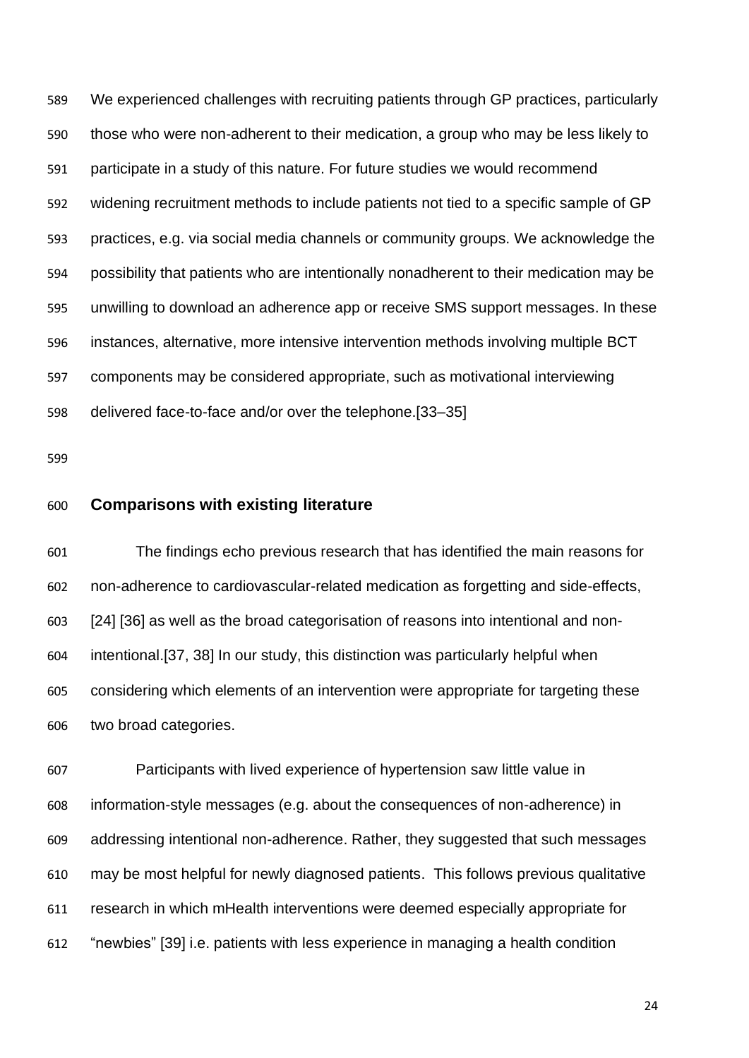We experienced challenges with recruiting patients through GP practices, particularly those who were non-adherent to their medication, a group who may be less likely to participate in a study of this nature. For future studies we would recommend widening recruitment methods to include patients not tied to a specific sample of GP practices, e.g. via social media channels or community groups. We acknowledge the possibility that patients who are intentionally nonadherent to their medication may be unwilling to download an adherence app or receive SMS support messages. In these instances, alternative, more intensive intervention methods involving multiple BCT components may be considered appropriate, such as motivational interviewing delivered face-to-face and/or over the telephone.[33–35]

### **Comparisons with existing literature**

 The findings echo previous research that has identified the main reasons for non-adherence to cardiovascular-related medication as forgetting and side-effects, [24] [36] as well as the broad categorisation of reasons into intentional and non- intentional.[37, 38] In our study, this distinction was particularly helpful when considering which elements of an intervention were appropriate for targeting these two broad categories.

 Participants with lived experience of hypertension saw little value in information-style messages (e.g. about the consequences of non-adherence) in addressing intentional non-adherence. Rather, they suggested that such messages may be most helpful for newly diagnosed patients. This follows previous qualitative research in which mHealth interventions were deemed especially appropriate for "newbies" [39] i.e. patients with less experience in managing a health condition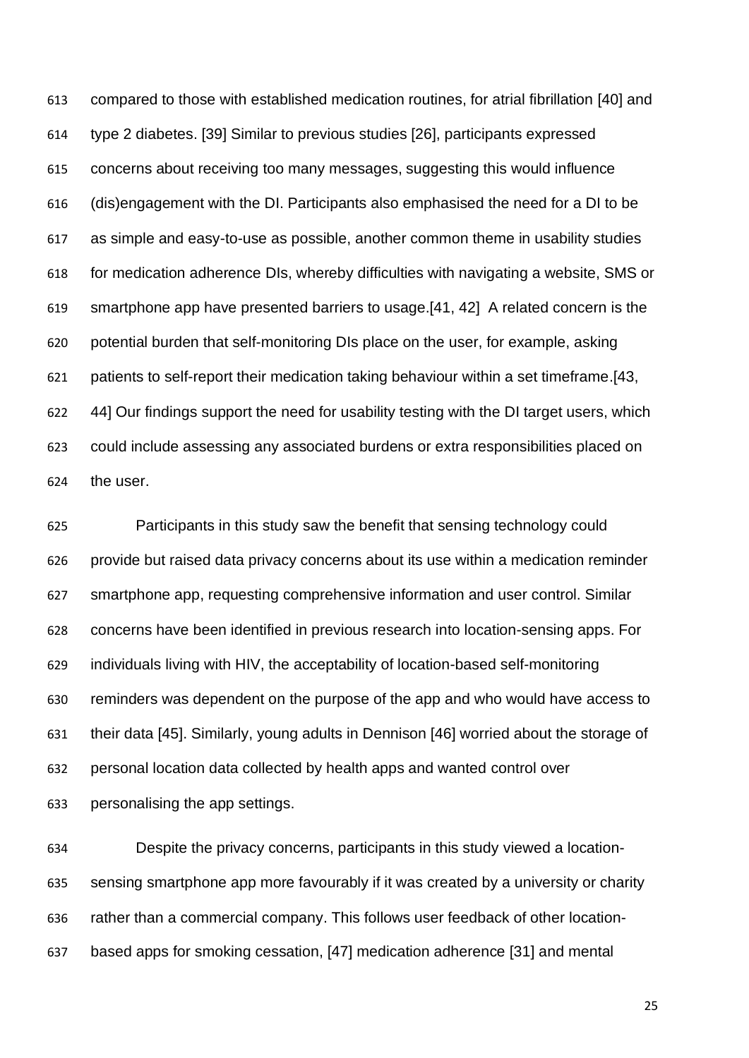compared to those with established medication routines, for atrial fibrillation [40] and type 2 diabetes. [39] Similar to previous studies [26], participants expressed concerns about receiving too many messages, suggesting this would influence (dis)engagement with the DI. Participants also emphasised the need for a DI to be as simple and easy-to-use as possible, another common theme in usability studies for medication adherence DIs, whereby difficulties with navigating a website, SMS or smartphone app have presented barriers to usage.[41, 42] A related concern is the potential burden that self-monitoring DIs place on the user, for example, asking patients to self-report their medication taking behaviour within a set timeframe.[43, 44] Our findings support the need for usability testing with the DI target users, which could include assessing any associated burdens or extra responsibilities placed on the user.

 Participants in this study saw the benefit that sensing technology could provide but raised data privacy concerns about its use within a medication reminder smartphone app, requesting comprehensive information and user control. Similar concerns have been identified in previous research into location-sensing apps. For individuals living with HIV, the acceptability of location-based self-monitoring reminders was dependent on the purpose of the app and who would have access to their data [45]. Similarly, young adults in Dennison [46] worried about the storage of personal location data collected by health apps and wanted control over personalising the app settings.

 Despite the privacy concerns, participants in this study viewed a location- sensing smartphone app more favourably if it was created by a university or charity rather than a commercial company. This follows user feedback of other location-based apps for smoking cessation, [47] medication adherence [31] and mental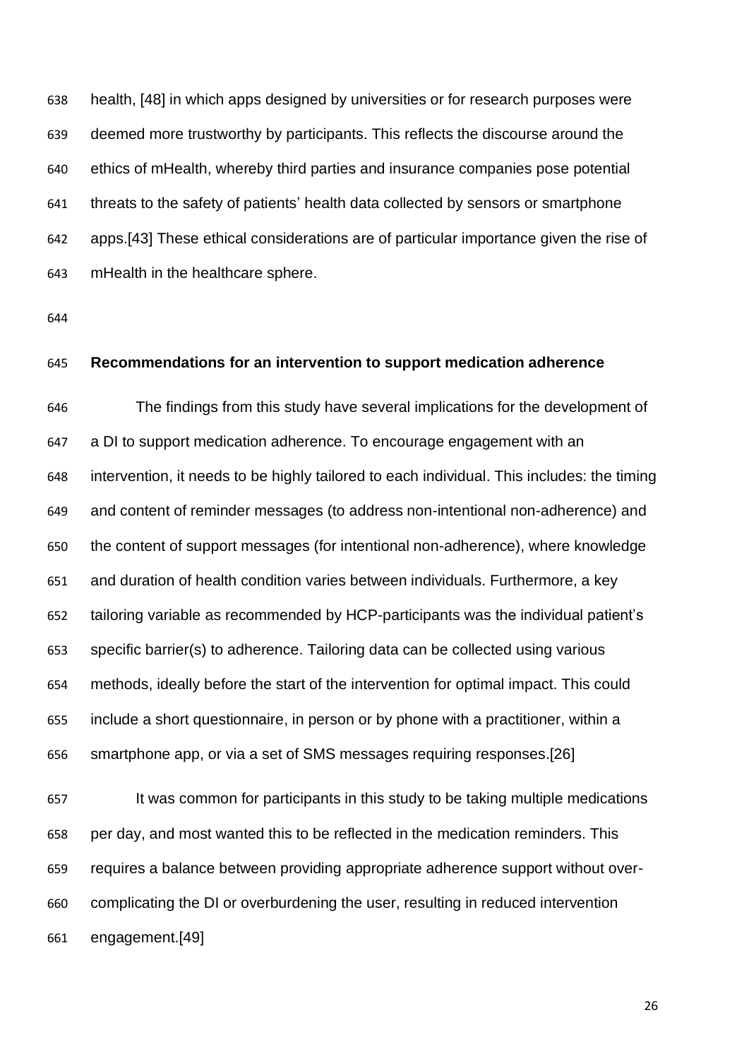health, [48] in which apps designed by universities or for research purposes were deemed more trustworthy by participants. This reflects the discourse around the ethics of mHealth, whereby third parties and insurance companies pose potential threats to the safety of patients' health data collected by sensors or smartphone apps.[43] These ethical considerations are of particular importance given the rise of mHealth in the healthcare sphere.

#### **Recommendations for an intervention to support medication adherence**

 The findings from this study have several implications for the development of a DI to support medication adherence. To encourage engagement with an intervention, it needs to be highly tailored to each individual. This includes: the timing and content of reminder messages (to address non-intentional non-adherence) and the content of support messages (for intentional non-adherence), where knowledge and duration of health condition varies between individuals. Furthermore, a key tailoring variable as recommended by HCP-participants was the individual patient's specific barrier(s) to adherence. Tailoring data can be collected using various methods, ideally before the start of the intervention for optimal impact. This could include a short questionnaire, in person or by phone with a practitioner, within a smartphone app, or via a set of SMS messages requiring responses.[26]

 It was common for participants in this study to be taking multiple medications per day, and most wanted this to be reflected in the medication reminders. This requires a balance between providing appropriate adherence support without over- complicating the DI or overburdening the user, resulting in reduced intervention engagement.[49]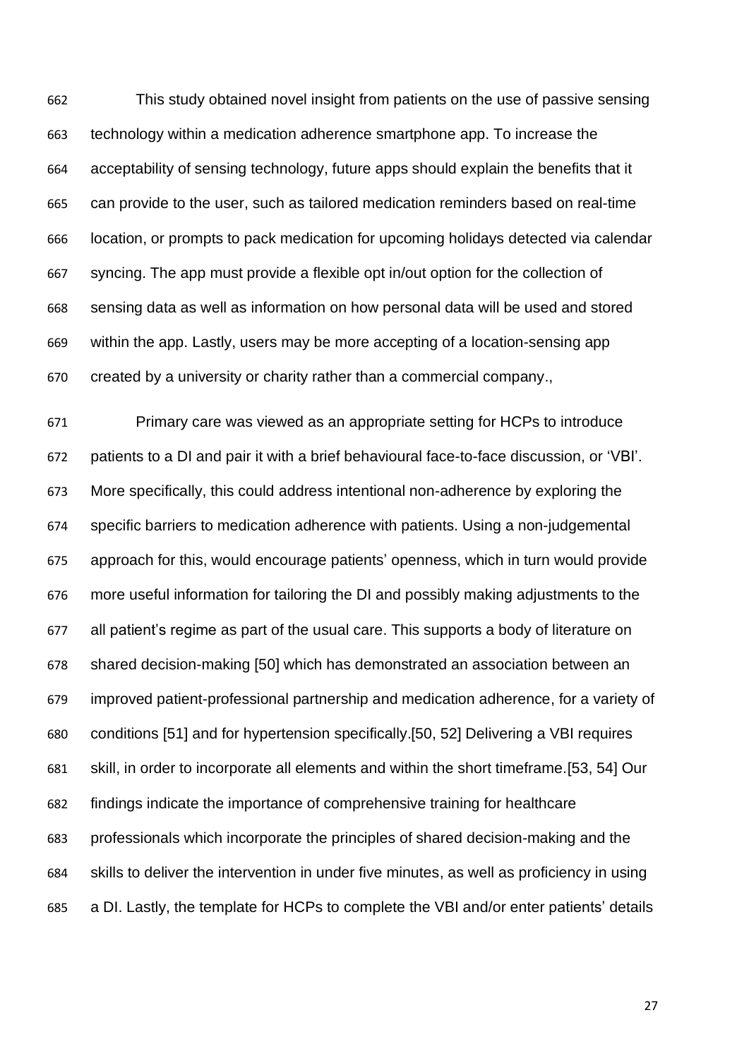This study obtained novel insight from patients on the use of passive sensing technology within a medication adherence smartphone app. To increase the acceptability of sensing technology, future apps should explain the benefits that it can provide to the user, such as tailored medication reminders based on real-time location, or prompts to pack medication for upcoming holidays detected via calendar syncing. The app must provide a flexible opt in/out option for the collection of sensing data as well as information on how personal data will be used and stored within the app. Lastly, users may be more accepting of a location-sensing app created by a university or charity rather than a commercial company.,

 Primary care was viewed as an appropriate setting for HCPs to introduce patients to a DI and pair it with a brief behavioural face-to-face discussion, or 'VBI'. More specifically, this could address intentional non-adherence by exploring the specific barriers to medication adherence with patients. Using a non-judgemental approach for this, would encourage patients' openness, which in turn would provide more useful information for tailoring the DI and possibly making adjustments to the all patient's regime as part of the usual care. This supports a body of literature on shared decision-making [50] which has demonstrated an association between an improved patient-professional partnership and medication adherence, for a variety of conditions [51] and for hypertension specifically.[50, 52] Delivering a VBI requires skill, in order to incorporate all elements and within the short timeframe.[53, 54] Our findings indicate the importance of comprehensive training for healthcare professionals which incorporate the principles of shared decision-making and the skills to deliver the intervention in under five minutes, as well as proficiency in using a DI. Lastly, the template for HCPs to complete the VBI and/or enter patients' details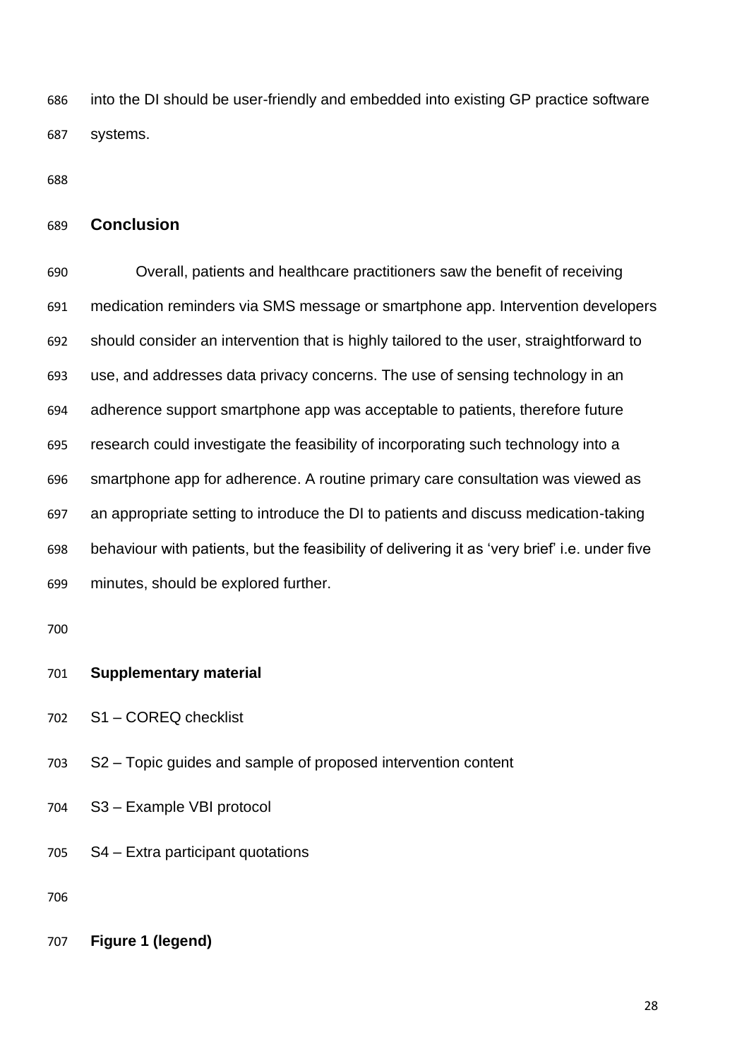into the DI should be user-friendly and embedded into existing GP practice software systems.

### **Conclusion**

 Overall, patients and healthcare practitioners saw the benefit of receiving medication reminders via SMS message or smartphone app. Intervention developers should consider an intervention that is highly tailored to the user, straightforward to use, and addresses data privacy concerns. The use of sensing technology in an adherence support smartphone app was acceptable to patients, therefore future research could investigate the feasibility of incorporating such technology into a smartphone app for adherence. A routine primary care consultation was viewed as an appropriate setting to introduce the DI to patients and discuss medication-taking behaviour with patients, but the feasibility of delivering it as 'very brief' i.e. under five minutes, should be explored further.

#### **Supplementary material**

- S1 COREQ checklist
- S2 Topic guides and sample of proposed intervention content
- S3 Example VBI protocol
- S4 Extra participant quotations

**Figure 1 (legend)**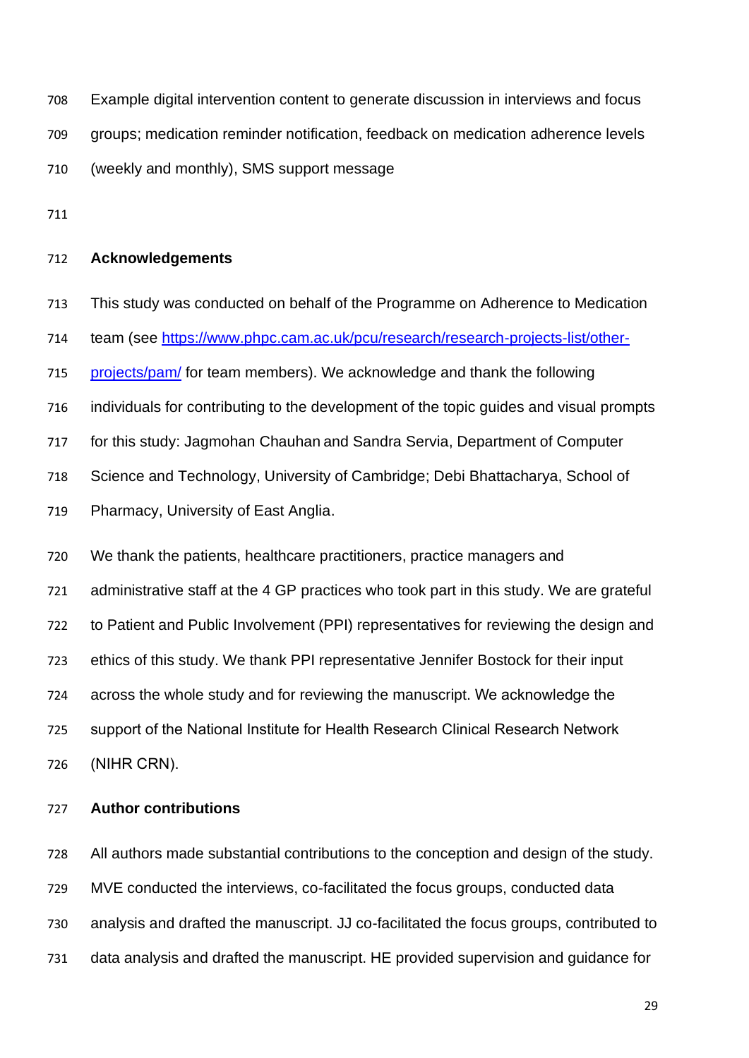Example digital intervention content to generate discussion in interviews and focus

groups; medication reminder notification, feedback on medication adherence levels

(weekly and monthly), SMS support message

### **Acknowledgements**

This study was conducted on behalf of the Programme on Adherence to Medication

team (see [https://www.phpc.cam.ac.uk/pcu/research/research-projects-list/other-](https://www.phpc.cam.ac.uk/pcu/research/research-projects-list/other-projects/pam/)

- [projects/pam/](https://www.phpc.cam.ac.uk/pcu/research/research-projects-list/other-projects/pam/) for team members). We acknowledge and thank the following
- individuals for contributing to the development of the topic guides and visual prompts

for this study: Jagmohan Chauhan and Sandra Servia, Department of Computer

Science and Technology, University of Cambridge; Debi Bhattacharya, School of

Pharmacy, University of East Anglia.

We thank the patients, healthcare practitioners, practice managers and

administrative staff at the 4 GP practices who took part in this study. We are grateful

to Patient and Public Involvement (PPI) representatives for reviewing the design and

ethics of this study. We thank PPI representative Jennifer Bostock for their input

across the whole study and for reviewing the manuscript. We acknowledge the

 support of the National Institute for Health Research Clinical Research Network (NIHR CRN).

#### **Author contributions**

 All authors made substantial contributions to the conception and design of the study. MVE conducted the interviews, co-facilitated the focus groups, conducted data analysis and drafted the manuscript. JJ co-facilitated the focus groups, contributed to data analysis and drafted the manuscript. HE provided supervision and guidance for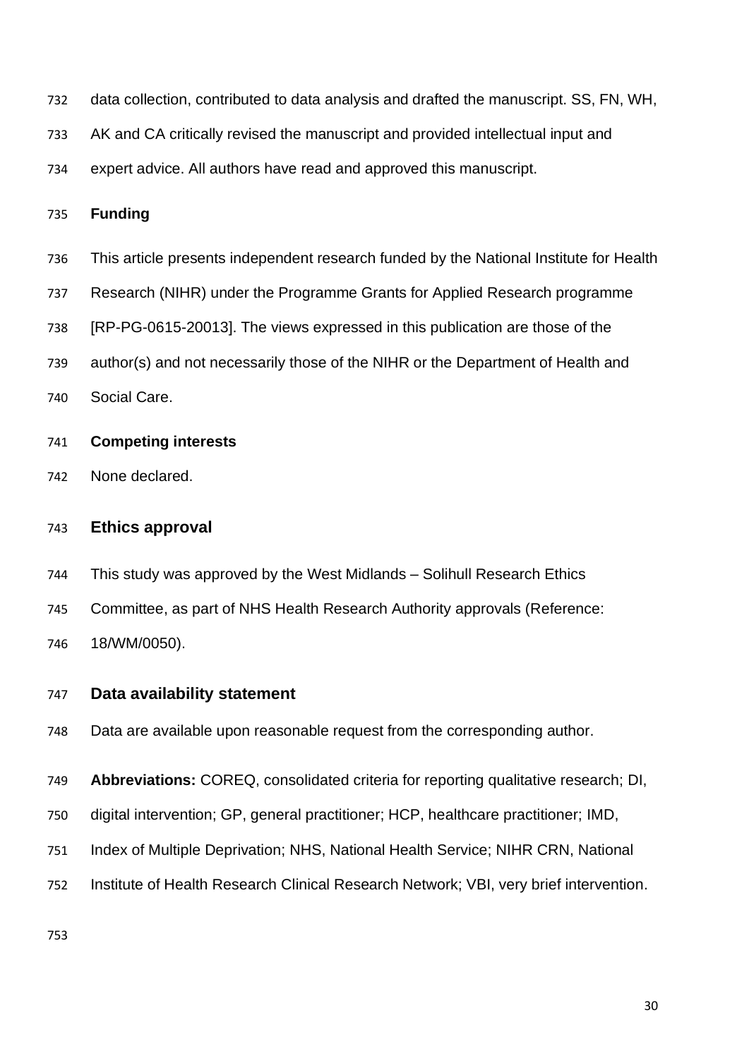- data collection, contributed to data analysis and drafted the manuscript. SS, FN, WH,
- AK and CA critically revised the manuscript and provided intellectual input and
- expert advice. All authors have read and approved this manuscript.

### **Funding**

- This article presents independent research funded by the National Institute for Health
- Research (NIHR) under the Programme Grants for Applied Research programme
- [RP-PG-0615-20013]. The views expressed in this publication are those of the
- author(s) and not necessarily those of the NIHR or the Department of Health and
- Social Care.

#### **Competing interests**

None declared.

#### **Ethics approval**

- This study was approved by the West Midlands Solihull Research Ethics
- Committee, as part of NHS Health Research Authority approvals (Reference:

18/WM/0050).

#### **Data availability statement**

- Data are available upon reasonable request from the corresponding author.
- **Abbreviations:** COREQ, consolidated criteria for reporting qualitative research; DI,
- digital intervention; GP, general practitioner; HCP, healthcare practitioner; IMD,
- Index of Multiple Deprivation; NHS, National Health Service; NIHR CRN, National
- Institute of Health Research Clinical Research Network; VBI, very brief intervention.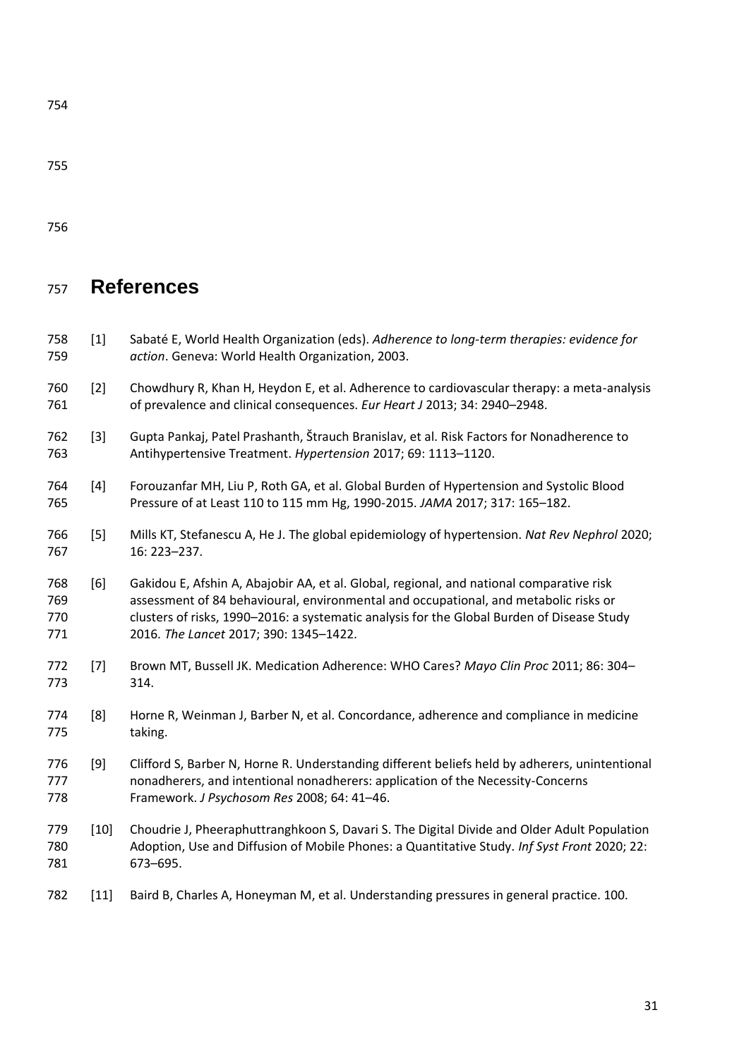# **References**

| 758<br>759               | $[1]$  | Sabaté E, World Health Organization (eds). Adherence to long-term therapies: evidence for<br>action. Geneva: World Health Organization, 2003.                                                                                                                                                                            |
|--------------------------|--------|--------------------------------------------------------------------------------------------------------------------------------------------------------------------------------------------------------------------------------------------------------------------------------------------------------------------------|
| 760<br>761               | $[2]$  | Chowdhury R, Khan H, Heydon E, et al. Adherence to cardiovascular therapy: a meta-analysis<br>of prevalence and clinical consequences. Eur Heart J 2013; 34: 2940-2948.                                                                                                                                                  |
| 762<br>763               | $[3]$  | Gupta Pankaj, Patel Prashanth, Štrauch Branislav, et al. Risk Factors for Nonadherence to<br>Antihypertensive Treatment. Hypertension 2017; 69: 1113-1120.                                                                                                                                                               |
| 764<br>765               | $[4]$  | Forouzanfar MH, Liu P, Roth GA, et al. Global Burden of Hypertension and Systolic Blood<br>Pressure of at Least 110 to 115 mm Hg, 1990-2015. JAMA 2017; 317: 165-182.                                                                                                                                                    |
| 766<br>767               | [5]    | Mills KT, Stefanescu A, He J. The global epidemiology of hypertension. Nat Rev Nephrol 2020;<br>16: 223-237.                                                                                                                                                                                                             |
| 768<br>769<br>770<br>771 | [6]    | Gakidou E, Afshin A, Abajobir AA, et al. Global, regional, and national comparative risk<br>assessment of 84 behavioural, environmental and occupational, and metabolic risks or<br>clusters of risks, 1990-2016: a systematic analysis for the Global Burden of Disease Study<br>2016. The Lancet 2017; 390: 1345-1422. |
| 772<br>773               | $[7]$  | Brown MT, Bussell JK. Medication Adherence: WHO Cares? Mayo Clin Proc 2011; 86: 304-<br>314.                                                                                                                                                                                                                             |
| 774<br>775               | [8]    | Horne R, Weinman J, Barber N, et al. Concordance, adherence and compliance in medicine<br>taking.                                                                                                                                                                                                                        |
| 776<br>777<br>778        | $[9]$  | Clifford S, Barber N, Horne R. Understanding different beliefs held by adherers, unintentional<br>nonadherers, and intentional nonadherers: application of the Necessity-Concerns<br>Framework. J Psychosom Res 2008; 64: 41-46.                                                                                         |
| 779<br>780<br>781        | $[10]$ | Choudrie J, Pheeraphuttranghkoon S, Davari S. The Digital Divide and Older Adult Population<br>Adoption, Use and Diffusion of Mobile Phones: a Quantitative Study. Inf Syst Front 2020; 22:<br>673-695.                                                                                                                  |
| 782                      | $[11]$ | Baird B, Charles A, Honeyman M, et al. Understanding pressures in general practice. 100.                                                                                                                                                                                                                                 |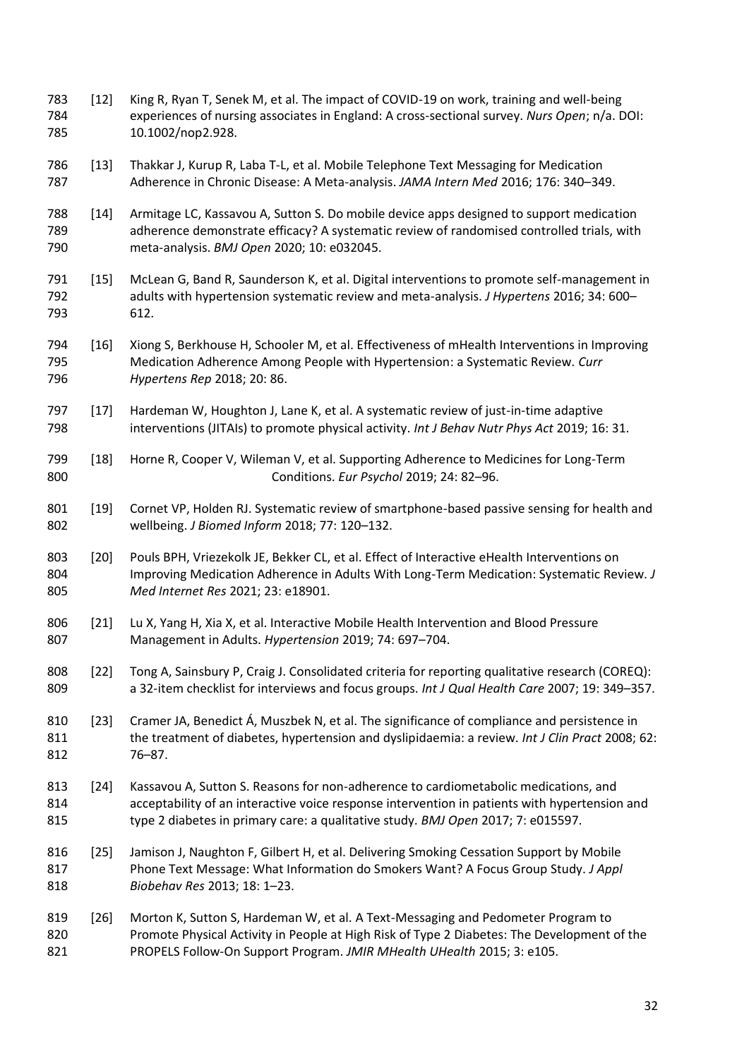- [12] King R, Ryan T, Senek M, et al. The impact of COVID-19 on work, training and well-being experiences of nursing associates in England: A cross-sectional survey. *Nurs Open*; n/a. DOI: 10.1002/nop2.928.
- [13] Thakkar J, Kurup R, Laba T-L, et al. Mobile Telephone Text Messaging for Medication Adherence in Chronic Disease: A Meta-analysis. *JAMA Intern Med* 2016; 176: 340–349.
- [14] Armitage LC, Kassavou A, Sutton S. Do mobile device apps designed to support medication adherence demonstrate efficacy? A systematic review of randomised controlled trials, with meta-analysis. *BMJ Open* 2020; 10: e032045.
- [15] McLean G, Band R, Saunderson K, et al. Digital interventions to promote self-management in adults with hypertension systematic review and meta-analysis. *J Hypertens* 2016; 34: 600– 612.
- [16] Xiong S, Berkhouse H, Schooler M, et al. Effectiveness of mHealth Interventions in Improving Medication Adherence Among People with Hypertension: a Systematic Review. *Curr Hypertens Rep* 2018; 20: 86.
- [17] Hardeman W, Houghton J, Lane K, et al. A systematic review of just-in-time adaptive interventions (JITAIs) to promote physical activity. *Int J Behav Nutr Phys Act* 2019; 16: 31.
- [18] Horne R, Cooper V, Wileman V, et al. Supporting Adherence to Medicines for Long-Term Conditions. *Eur Psychol* 2019; 24: 82–96.
- 801 [19] Cornet VP, Holden RJ. Systematic review of smartphone-based passive sensing for health and wellbeing. *J Biomed Inform* 2018; 77: 120–132.
- 803 [20] Pouls BPH, Vriezekolk JE, Bekker CL, et al. Effect of Interactive eHealth Interventions on Improving Medication Adherence in Adults With Long-Term Medication: Systematic Review. *J Med Internet Res* 2021; 23: e18901.
- [21] Lu X, Yang H, Xia X, et al. Interactive Mobile Health Intervention and Blood Pressure Management in Adults. *Hypertension* 2019; 74: 697–704.
- 808 [22] Tong A, Sainsbury P, Craig J. Consolidated criteria for reporting qualitative research (COREQ): a 32-item checklist for interviews and focus groups. *Int J Qual Health Care* 2007; 19: 349–357.
- 810 [23] Cramer JA, Benedict Á, Muszbek N, et al. The significance of compliance and persistence in the treatment of diabetes, hypertension and dyslipidaemia: a review. *Int J Clin Pract* 2008; 62: 76–87.
- [24] Kassavou A, Sutton S. Reasons for non-adherence to cardiometabolic medications, and acceptability of an interactive voice response intervention in patients with hypertension and type 2 diabetes in primary care: a qualitative study. *BMJ Open* 2017; 7: e015597.
- [25] Jamison J, Naughton F, Gilbert H, et al. Delivering Smoking Cessation Support by Mobile Phone Text Message: What Information do Smokers Want? A Focus Group Study. *J Appl Biobehav Res* 2013; 18: 1–23.
- [26] Morton K, Sutton S, Hardeman W, et al. A Text-Messaging and Pedometer Program to Promote Physical Activity in People at High Risk of Type 2 Diabetes: The Development of the PROPELS Follow-On Support Program. *JMIR MHealth UHealth* 2015; 3: e105.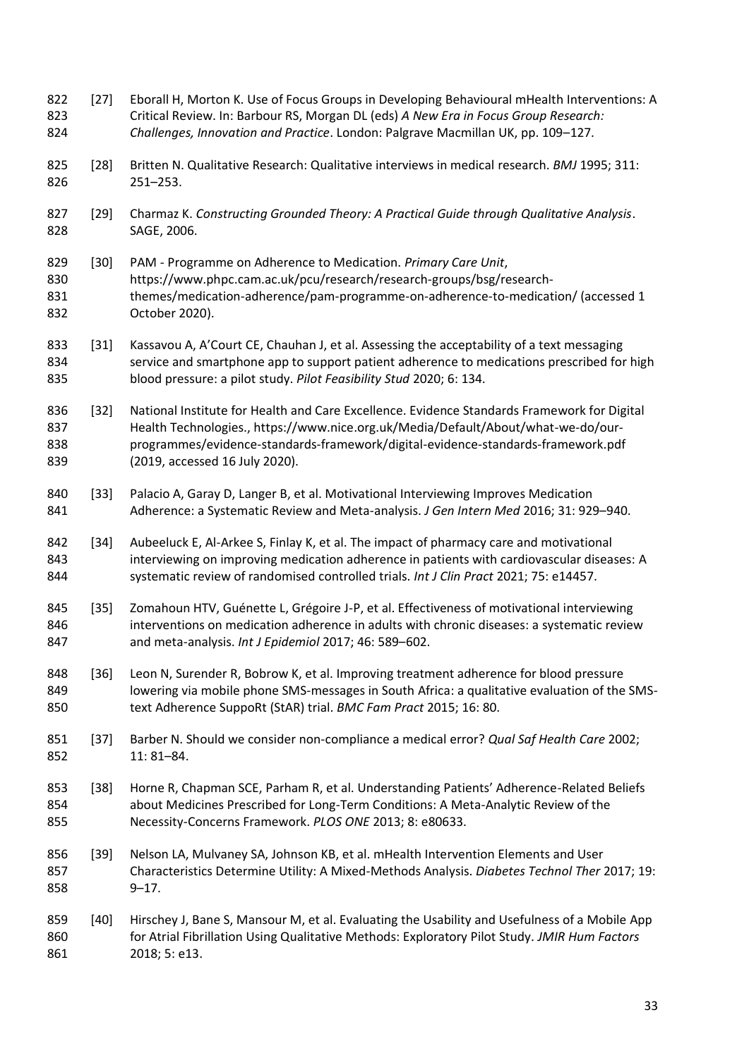| 822<br>823<br>824        | $[27]$ | Eborall H, Morton K. Use of Focus Groups in Developing Behavioural mHealth Interventions: A<br>Critical Review. In: Barbour RS, Morgan DL (eds) A New Era in Focus Group Research:<br>Challenges, Innovation and Practice. London: Palgrave Macmillan UK, pp. 109-127.                                 |
|--------------------------|--------|--------------------------------------------------------------------------------------------------------------------------------------------------------------------------------------------------------------------------------------------------------------------------------------------------------|
| 825<br>826               | $[28]$ | Britten N. Qualitative Research: Qualitative interviews in medical research. BMJ 1995; 311:<br>$251 - 253.$                                                                                                                                                                                            |
| 827<br>828               | $[29]$ | Charmaz K. Constructing Grounded Theory: A Practical Guide through Qualitative Analysis.<br>SAGE, 2006.                                                                                                                                                                                                |
| 829<br>830<br>831<br>832 | $[30]$ | PAM - Programme on Adherence to Medication. Primary Care Unit,<br>https://www.phpc.cam.ac.uk/pcu/research/research-groups/bsg/research-<br>themes/medication-adherence/pam-programme-on-adherence-to-medication/ (accessed 1<br>October 2020).                                                         |
| 833<br>834<br>835        | $[31]$ | Kassavou A, A'Court CE, Chauhan J, et al. Assessing the acceptability of a text messaging<br>service and smartphone app to support patient adherence to medications prescribed for high<br>blood pressure: a pilot study. Pilot Feasibility Stud 2020; 6: 134.                                         |
| 836<br>837<br>838<br>839 | $[32]$ | National Institute for Health and Care Excellence. Evidence Standards Framework for Digital<br>Health Technologies., https://www.nice.org.uk/Media/Default/About/what-we-do/our-<br>programmes/evidence-standards-framework/digital-evidence-standards-framework.pdf<br>(2019, accessed 16 July 2020). |
| 840<br>841               | $[33]$ | Palacio A, Garay D, Langer B, et al. Motivational Interviewing Improves Medication<br>Adherence: a Systematic Review and Meta-analysis. J Gen Intern Med 2016; 31: 929-940.                                                                                                                            |
| 842<br>843<br>844        | $[34]$ | Aubeeluck E, Al-Arkee S, Finlay K, et al. The impact of pharmacy care and motivational<br>interviewing on improving medication adherence in patients with cardiovascular diseases: A<br>systematic review of randomised controlled trials. Int J Clin Pract 2021; 75: e14457.                          |
| 845<br>846<br>847        | $[35]$ | Zomahoun HTV, Guénette L, Grégoire J-P, et al. Effectiveness of motivational interviewing<br>interventions on medication adherence in adults with chronic diseases: a systematic review<br>and meta-analysis. Int J Epidemiol 2017; 46: 589-602.                                                       |
| 848<br>849<br>850        | $[36]$ | Leon N, Surender R, Bobrow K, et al. Improving treatment adherence for blood pressure<br>lowering via mobile phone SMS-messages in South Africa: a qualitative evaluation of the SMS-<br>text Adherence SuppoRt (StAR) trial. BMC Fam Pract 2015; 16: 80.                                              |
| 851<br>852               | $[37]$ | Barber N. Should we consider non-compliance a medical error? Qual Saf Health Care 2002;<br>$11:81 - 84.$                                                                                                                                                                                               |
| 853<br>854<br>855        | $[38]$ | Horne R, Chapman SCE, Parham R, et al. Understanding Patients' Adherence-Related Beliefs<br>about Medicines Prescribed for Long-Term Conditions: A Meta-Analytic Review of the<br>Necessity-Concerns Framework. PLOS ONE 2013; 8: e80633.                                                              |
| 856<br>857<br>858        | $[39]$ | Nelson LA, Mulvaney SA, Johnson KB, et al. mHealth Intervention Elements and User<br>Characteristics Determine Utility: A Mixed-Methods Analysis. Diabetes Technol Ther 2017; 19:<br>$9 - 17.$                                                                                                         |
| 859<br>860<br>861        | $[40]$ | Hirschey J, Bane S, Mansour M, et al. Evaluating the Usability and Usefulness of a Mobile App<br>for Atrial Fibrillation Using Qualitative Methods: Exploratory Pilot Study. JMIR Hum Factors<br>2018; 5: e13.                                                                                         |